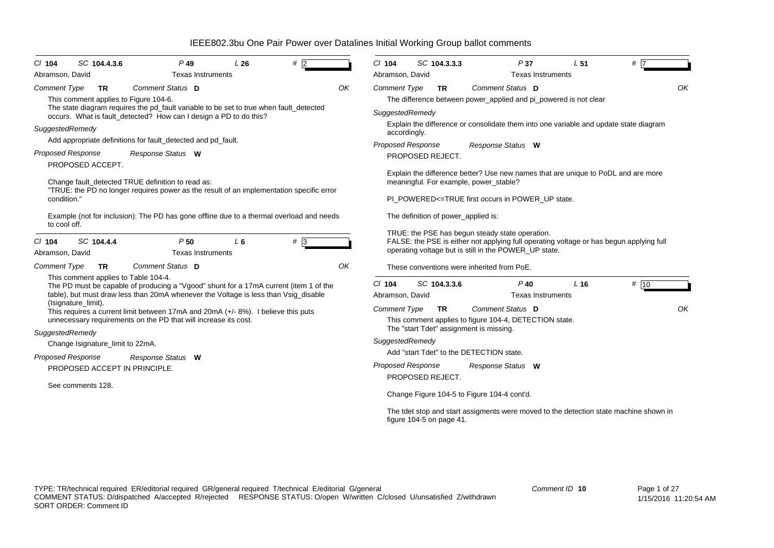| C/ 104                   | SC 104.4.3.6                                                                                                                                  | $P$ 49                                                                                                                                                                       | L26   | #2                                                                                                                                               |    | C/ 104                                                                                                |                          | SC 104.3.3.3                                                                      | P37                                                                                  | L <sub>51</sub>                             | #                                                                                     |  |  |  |  |  |
|--------------------------|-----------------------------------------------------------------------------------------------------------------------------------------------|------------------------------------------------------------------------------------------------------------------------------------------------------------------------------|-------|--------------------------------------------------------------------------------------------------------------------------------------------------|----|-------------------------------------------------------------------------------------------------------|--------------------------|-----------------------------------------------------------------------------------|--------------------------------------------------------------------------------------|---------------------------------------------|---------------------------------------------------------------------------------------|--|--|--|--|--|
| Abramson, David          |                                                                                                                                               | <b>Texas Instruments</b>                                                                                                                                                     |       |                                                                                                                                                  |    | Abramson, David                                                                                       |                          |                                                                                   |                                                                                      | <b>Texas Instruments</b>                    |                                                                                       |  |  |  |  |  |
| <b>Comment Type</b>      | <b>TR</b><br>This comment applies to Figure 104-6.                                                                                            | Comment Status D                                                                                                                                                             |       |                                                                                                                                                  | OK | <b>Comment Type</b>                                                                                   |                          | <b>TR</b>                                                                         | Comment Status D<br>The difference between power_applied and pi_powered is not clear |                                             | ΟK                                                                                    |  |  |  |  |  |
|                          |                                                                                                                                               | The state diagram requires the pd_fault variable to be set to true when fault_detected<br>occurs. What is fault_detected? How can I design a PD to do this?                  |       |                                                                                                                                                  |    | SuggestedRemedy                                                                                       |                          |                                                                                   |                                                                                      |                                             |                                                                                       |  |  |  |  |  |
| SuggestedRemedy          |                                                                                                                                               |                                                                                                                                                                              |       |                                                                                                                                                  |    | Explain the difference or consolidate them into one variable and update state diagram<br>accordingly. |                          |                                                                                   |                                                                                      |                                             |                                                                                       |  |  |  |  |  |
|                          |                                                                                                                                               | Add appropriate definitions for fault detected and pd fault.                                                                                                                 |       |                                                                                                                                                  |    | <b>Proposed Response</b><br>Response Status W                                                         |                          |                                                                                   |                                                                                      |                                             |                                                                                       |  |  |  |  |  |
| <b>Proposed Response</b> | PROPOSED ACCEPT.                                                                                                                              | Response Status W                                                                                                                                                            |       |                                                                                                                                                  |    | PROPOSED REJECT.                                                                                      |                          |                                                                                   |                                                                                      |                                             |                                                                                       |  |  |  |  |  |
| condition."              | Change fault_detected TRUE definition to read as:<br>"TRUE: the PD no longer requires power as the result of an implementation specific error |                                                                                                                                                                              |       |                                                                                                                                                  |    | meaningful. For example, power_stable?<br>PI_POWERED<=TRUE first occurs in POWER_UP state.            |                          | Explain the difference better? Use new names that are unique to PoDL and are more |                                                                                      |                                             |                                                                                       |  |  |  |  |  |
| to cool off.             |                                                                                                                                               | Example (not for inclusion): The PD has gone offline due to a thermal overload and needs                                                                                     |       |                                                                                                                                                  |    |                                                                                                       |                          |                                                                                   | The definition of power applied is:                                                  |                                             |                                                                                       |  |  |  |  |  |
| $CI$ 104                 | SC 104.4.4                                                                                                                                    | P <sub>50</sub>                                                                                                                                                              | $L_6$ | # 3                                                                                                                                              |    |                                                                                                       |                          |                                                                                   | TRUE: the PSE has begun steady state operation.                                      |                                             |                                                                                       |  |  |  |  |  |
| Abramson, David          |                                                                                                                                               | <b>Texas Instruments</b>                                                                                                                                                     |       | FALSE: the PSE is either not applying full operating voltage or has begun applying full<br>operating voltage but is still in the POWER_UP state. |    |                                                                                                       |                          |                                                                                   |                                                                                      |                                             |                                                                                       |  |  |  |  |  |
| <b>Comment Type</b>      | <b>TR</b>                                                                                                                                     | Comment Status D                                                                                                                                                             |       |                                                                                                                                                  | OK | These conventions were inherited from PoE.                                                            |                          |                                                                                   |                                                                                      |                                             |                                                                                       |  |  |  |  |  |
|                          | This comment applies to Table 104-4.                                                                                                          | The PD must be capable of producing a "Vgood" shunt for a 17mA current (item 1 of the<br>table), but must draw less than 20mA whenever the Voltage is less than Vsig_disable |       |                                                                                                                                                  |    | $Cl$ 104<br>Abramson, David                                                                           |                          | SC 104.3.3.6                                                                      | $P$ 40                                                                               | L <sub>16</sub><br><b>Texas Instruments</b> | # 10                                                                                  |  |  |  |  |  |
|                          | (Isignature_limit).                                                                                                                           | This requires a current limit between 17mA and 20mA (+/- 8%). I believe this puts<br>unnecessary requirements on the PD that will increase its cost.                         |       |                                                                                                                                                  |    | Comment Type                                                                                          |                          | TR                                                                                | Comment Status D<br>This comment applies to figure 104-4, DETECTION state.           |                                             | OK                                                                                    |  |  |  |  |  |
| SuggestedRemedy          |                                                                                                                                               |                                                                                                                                                                              |       |                                                                                                                                                  |    |                                                                                                       |                          |                                                                                   | The "start Tdet" assignment is missing.                                              |                                             |                                                                                       |  |  |  |  |  |
|                          | Change Isignature_limit to 22mA.                                                                                                              |                                                                                                                                                                              |       |                                                                                                                                                  |    | SuggestedRemedy                                                                                       |                          |                                                                                   |                                                                                      |                                             |                                                                                       |  |  |  |  |  |
| <b>Proposed Response</b> |                                                                                                                                               | Response Status W                                                                                                                                                            |       |                                                                                                                                                  |    |                                                                                                       |                          |                                                                                   | Add "start Tdet" to the DETECTION state.                                             |                                             |                                                                                       |  |  |  |  |  |
|                          | PROPOSED ACCEPT IN PRINCIPLE.                                                                                                                 |                                                                                                                                                                              |       |                                                                                                                                                  |    | <b>Proposed Response</b>                                                                              | PROPOSED REJECT.         |                                                                                   | Response Status W                                                                    |                                             |                                                                                       |  |  |  |  |  |
|                          | See comments 128.                                                                                                                             |                                                                                                                                                                              |       |                                                                                                                                                  |    |                                                                                                       |                          |                                                                                   | Change Figure 104-5 to Figure 104-4 cont'd.                                          |                                             |                                                                                       |  |  |  |  |  |
|                          |                                                                                                                                               |                                                                                                                                                                              |       |                                                                                                                                                  |    |                                                                                                       | figure 104-5 on page 41. |                                                                                   |                                                                                      |                                             | The tdet stop and start assigments were moved to the detection state machine shown in |  |  |  |  |  |
|                          |                                                                                                                                               |                                                                                                                                                                              |       |                                                                                                                                                  |    |                                                                                                       |                          |                                                                                   |                                                                                      |                                             |                                                                                       |  |  |  |  |  |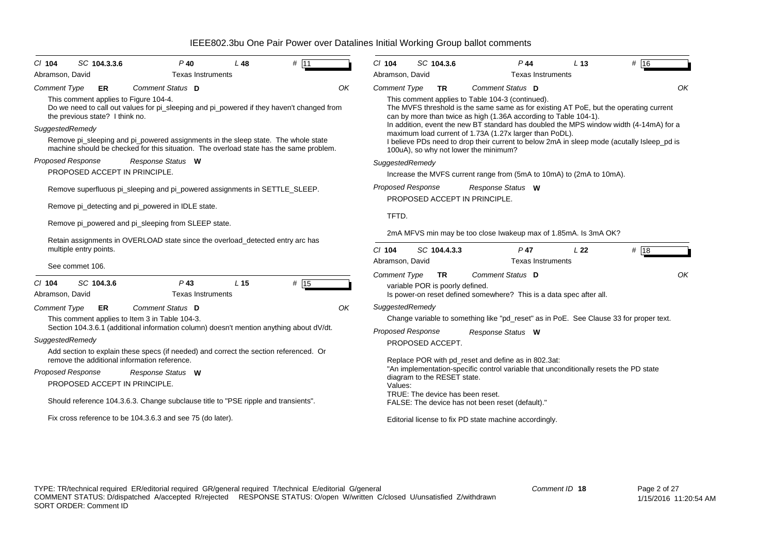| SC 104.3.3.6<br>$CI$ 104                                                                                                                                                                                 | $P$ 40                                                                                                                                                                                                                                                                                                                                                                                                                                                                | L48             | $#$ 11 |    | $Cl$ 104                                                                      | SC 104.3.6                                                                                      |                                                                                                                                                                                                                                                         | $P$ 44                                                                                                                                                                                                                                                                                                                                                                                                         |                          | L <sub>13</sub> | # 16                                                                                                                                                                                                                                                                                |  |  |  |  |
|----------------------------------------------------------------------------------------------------------------------------------------------------------------------------------------------------------|-----------------------------------------------------------------------------------------------------------------------------------------------------------------------------------------------------------------------------------------------------------------------------------------------------------------------------------------------------------------------------------------------------------------------------------------------------------------------|-----------------|--------|----|-------------------------------------------------------------------------------|-------------------------------------------------------------------------------------------------|---------------------------------------------------------------------------------------------------------------------------------------------------------------------------------------------------------------------------------------------------------|----------------------------------------------------------------------------------------------------------------------------------------------------------------------------------------------------------------------------------------------------------------------------------------------------------------------------------------------------------------------------------------------------------------|--------------------------|-----------------|-------------------------------------------------------------------------------------------------------------------------------------------------------------------------------------------------------------------------------------------------------------------------------------|--|--|--|--|
| Abramson, David<br><b>Comment Type</b><br>ER<br>This comment applies to Figure 104-4.<br>the previous state? I think no.<br>SuggestedRemedy<br><b>Proposed Response</b><br>PROPOSED ACCEPT IN PRINCIPLE. | <b>Texas Instruments</b><br>Comment Status D<br>Do we need to call out values for pi_sleeping and pi_powered if they haven't changed from<br>Remove pi_sleeping and pi_powered assignments in the sleep state. The whole state<br>machine should be checked for this situation. The overload state has the same problem.<br>Response Status W                                                                                                                         |                 |        | OK | Abramson, David<br>Comment Type<br>SuggestedRemedy                            | <b>TR</b>                                                                                       |                                                                                                                                                                                                                                                         | Comment Status D<br>This comment applies to Table 104-3 (continued).<br>can by more than twice as high (1.36A according to Table 104-1).<br>maximum load current of 1.73A (1.27x larger than PoDL).<br>100uA), so why not lower the minimum?<br>Increase the MVFS current range from (5mA to 10mA) to (2mA to 10mA).                                                                                           | <b>Texas Instruments</b> |                 | OK<br>The MVFS threshold is the same same as for existing AT PoE, but the operating current<br>In addition, event the new BT standard has doubled the MPS window width (4-14mA) for a<br>I believe PDs need to drop their current to below 2mA in sleep mode (acutally Isleep_pd is |  |  |  |  |
| multiple entry points.<br>See commet 106.                                                                                                                                                                | Remove superfluous pi_sleeping and pi_powered assignments in SETTLE_SLEEP.<br>Remove pi_detecting and pi_powered in IDLE state.<br>Remove pi_powered and pi_sleeping from SLEEP state.<br>Retain assignments in OVERLOAD state since the overload_detected entry arc has                                                                                                                                                                                              |                 |        |    |                                                                               |                                                                                                 | <b>Proposed Response</b><br>Response Status W<br>PROPOSED ACCEPT IN PRINCIPLE.<br>TFTD.<br>2mA MFVS min may be too close Iwakeup max of 1.85mA. Is 3mA OK?<br>$Cl$ 104<br>SC 104.4.3.3<br>$P$ 47<br>L 22<br><b>Texas Instruments</b><br>Abramson, David |                                                                                                                                                                                                                                                                                                                                                                                                                |                          |                 |                                                                                                                                                                                                                                                                                     |  |  |  |  |
| SC 104.3.6<br>$Cl$ 104<br>Abramson, David<br><b>Comment Type</b><br>ER<br>SuggestedRemedy<br>remove the additional information reference.<br>Proposed Response<br>PROPOSED ACCEPT IN PRINCIPLE.          | $P$ 43<br><b>Texas Instruments</b><br>Comment Status D<br>This comment applies to Item 3 in Table 104-3.<br>Section 104.3.6.1 (additional information column) doesn't mention anything about dV/dt.<br>Add section to explain these specs (if needed) and correct the section referenced. Or<br>Response Status W<br>Should reference 104.3.6.3. Change subclause title to "PSE ripple and transients".<br>Fix cross reference to be 104.3.6.3 and see 75 (do later). | L <sub>15</sub> | # 15   | OK | <b>Comment Type</b><br>SuggestedRemedy<br><b>Proposed Response</b><br>Values: | <b>TR</b><br>variable POR is poorly defined.<br>PROPOSED ACCEPT.<br>diagram to the RESET state. |                                                                                                                                                                                                                                                         | Comment Status D<br>Is power-on reset defined somewhere? This is a data spec after all.<br>Response Status W<br>Replace POR with pd_reset and define as in 802.3at:<br>"An implementation-specific control variable that unconditionally resets the PD state<br>TRUE: The device has been reset.<br>FALSE: The device has not been reset (default)."<br>Editorial license to fix PD state machine accordingly. |                          |                 | OK<br>Change variable to something like "pd_reset" as in PoE. See Clause 33 for proper text.                                                                                                                                                                                        |  |  |  |  |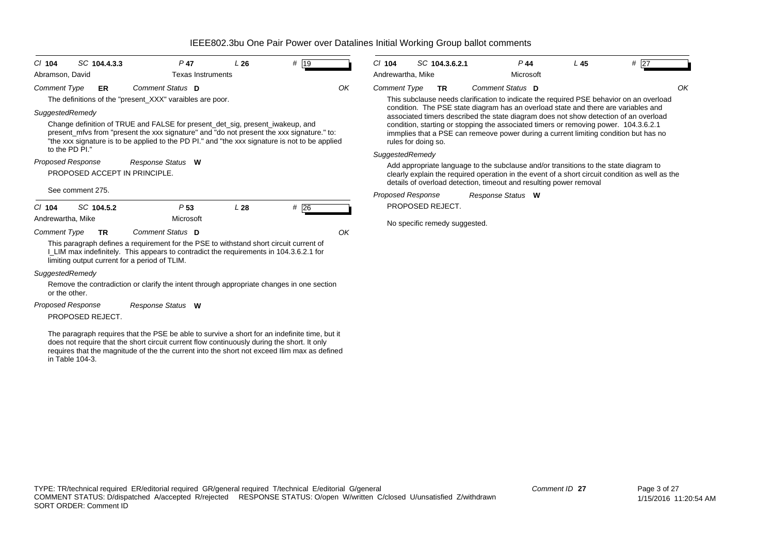| SC 104.4.3.3<br>$CI$ 104<br>Abramson, David   | $P$ 47<br><b>Texas Instruments</b>                                                                                                                                                                                                                                                           | L26             | # 19              |    | $Cl$ 104<br>Andrewartha, Mike | SC 104.3.6.2.1                |                                                                    | $P$ 44<br>Microsoft | L <sub>45</sub> | $#$ 27                                                                                                                                                                                                                                                                                                                                                     |
|-----------------------------------------------|----------------------------------------------------------------------------------------------------------------------------------------------------------------------------------------------------------------------------------------------------------------------------------------------|-----------------|-------------------|----|-------------------------------|-------------------------------|--------------------------------------------------------------------|---------------------|-----------------|------------------------------------------------------------------------------------------------------------------------------------------------------------------------------------------------------------------------------------------------------------------------------------------------------------------------------------------------------------|
| <b>Comment Type</b><br>ER                     | Comment Status D<br>The definitions of the "present_XXX" varaibles are poor.                                                                                                                                                                                                                 |                 |                   | OK | <b>Comment Type</b>           | <b>TR</b>                     | Comment Status D                                                   |                     |                 | OK<br>This subclause needs clarification to indicate the required PSE behavior on an overload                                                                                                                                                                                                                                                              |
| SuggestedRemedy<br>to the PD PI."             | Change definition of TRUE and FALSE for present_det_sig, present_iwakeup, and<br>present mfvs from "present the xxx signature" and "do not present the xxx signature." to:<br>"the xxx signature is to be applied to the PD PI." and "the xxx signature is not to be applied                 |                 |                   |    | rules for doing so.           |                               |                                                                    |                     |                 | condition. The PSE state diagram has an overload state and there are variables and<br>associated timers described the state diagram does not show detection of an overload<br>condition, starting or stopping the associated timers or removing power. 104.3.6.2.1<br>immplies that a PSE can remeove power during a current limiting condition but has no |
| <b>Proposed Response</b>                      | Response Status W                                                                                                                                                                                                                                                                            |                 |                   |    | SuggestedRemedy               |                               |                                                                    |                     |                 | Add appropriate language to the subclause and/or transitions to the state diagram to                                                                                                                                                                                                                                                                       |
| PROPOSED ACCEPT IN PRINCIPLE.                 |                                                                                                                                                                                                                                                                                              |                 |                   |    |                               |                               | details of overload detection, timeout and resulting power removal |                     |                 | clearly explain the required operation in the event of a short circuit condition as well as the                                                                                                                                                                                                                                                            |
| See comment 275.                              |                                                                                                                                                                                                                                                                                              |                 |                   |    | <b>Proposed Response</b>      |                               | Response Status W                                                  |                     |                 |                                                                                                                                                                                                                                                                                                                                                            |
| SC 104.5.2<br>$Cl$ 104                        | P <sub>53</sub>                                                                                                                                                                                                                                                                              | L <sub>28</sub> | # $\overline{26}$ |    |                               | PROPOSED REJECT.              |                                                                    |                     |                 |                                                                                                                                                                                                                                                                                                                                                            |
| Andrewartha, Mike                             | Microsoft                                                                                                                                                                                                                                                                                    |                 |                   |    |                               | No specific remedy suggested. |                                                                    |                     |                 |                                                                                                                                                                                                                                                                                                                                                            |
| <b>Comment Type</b><br><b>TR</b>              | Comment Status D                                                                                                                                                                                                                                                                             |                 |                   | OK |                               |                               |                                                                    |                     |                 |                                                                                                                                                                                                                                                                                                                                                            |
| limiting output current for a period of TLIM. | This paragraph defines a requirement for the PSE to withstand short circuit current of<br>I_LIM max indefinitely. This appears to contradict the requirements in 104.3.6.2.1 for                                                                                                             |                 |                   |    |                               |                               |                                                                    |                     |                 |                                                                                                                                                                                                                                                                                                                                                            |
| SuggestedRemedy                               |                                                                                                                                                                                                                                                                                              |                 |                   |    |                               |                               |                                                                    |                     |                 |                                                                                                                                                                                                                                                                                                                                                            |
| or the other.                                 | Remove the contradiction or clarify the intent through appropriate changes in one section                                                                                                                                                                                                    |                 |                   |    |                               |                               |                                                                    |                     |                 |                                                                                                                                                                                                                                                                                                                                                            |
| <b>Proposed Response</b><br>PROPOSED REJECT.  | Response Status W                                                                                                                                                                                                                                                                            |                 |                   |    |                               |                               |                                                                    |                     |                 |                                                                                                                                                                                                                                                                                                                                                            |
| in Table 104-3.                               | The paragraph requires that the PSE be able to survive a short for an indefinite time, but it<br>does not require that the short circuit current flow continuously during the short. It only<br>requires that the magnitude of the the current into the short not exceed Ilim max as defined |                 |                   |    |                               |                               |                                                                    |                     |                 |                                                                                                                                                                                                                                                                                                                                                            |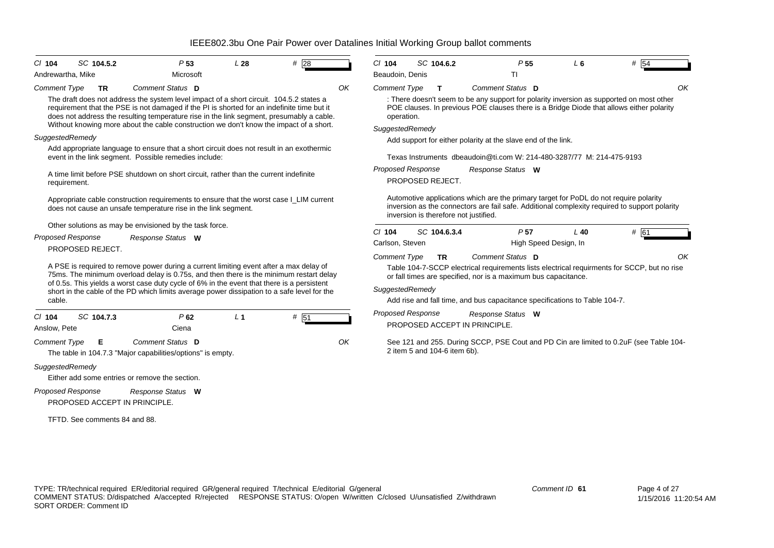| $CI$ 104<br>Andrewartha, Mike | SC 104.5.2                    | P <sub>53</sub><br>Microsoft                                                                                                                                                                                                                                                                                                                                                | L28            | #28  | $Cl$ 104<br>Beaudoin, Denis | SC 104.6.2                            | P <sub>55</sub><br>TI                                                                                                                                                                  | L <sub>6</sub> | # 54 |  |
|-------------------------------|-------------------------------|-----------------------------------------------------------------------------------------------------------------------------------------------------------------------------------------------------------------------------------------------------------------------------------------------------------------------------------------------------------------------------|----------------|------|-----------------------------|---------------------------------------|----------------------------------------------------------------------------------------------------------------------------------------------------------------------------------------|----------------|------|--|
| <b>Comment Type</b>           | <b>TR</b>                     | Comment Status D                                                                                                                                                                                                                                                                                                                                                            |                | OK   | <b>Comment Type</b>         | T                                     | Comment Status D                                                                                                                                                                       |                | Οŀ   |  |
|                               |                               | The draft does not address the system level impact of a short circuit. 104.5.2 states a<br>requirement that the PSE is not damaged if the PI is shorted for an indefinite time but it<br>does not address the resulting temperature rise in the link segment, presumably a cable.<br>Without knowing more about the cable construction we don't know the impact of a short. |                |      | operation.                  |                                       | : There doesn't seem to be any support for polarity inversion as supported on most other<br>POE clauses. In previous POE clauses there is a Bridge Diode that allows either polarity   |                |      |  |
| SuggestedRemedy               |                               |                                                                                                                                                                                                                                                                                                                                                                             |                |      | SuggestedRemedy             |                                       |                                                                                                                                                                                        |                |      |  |
|                               |                               | Add appropriate language to ensure that a short circuit does not result in an exothermic                                                                                                                                                                                                                                                                                    |                |      |                             |                                       | Add support for either polarity at the slave end of the link.                                                                                                                          |                |      |  |
|                               |                               | event in the link segment. Possible remedies include:                                                                                                                                                                                                                                                                                                                       |                |      |                             |                                       | Texas Instruments dbeaudoin@ti.com W: 214-480-3287/77 M: 214-475-9193                                                                                                                  |                |      |  |
|                               |                               | A time limit before PSE shutdown on short circuit, rather than the current indefinite                                                                                                                                                                                                                                                                                       |                |      | <b>Proposed Response</b>    |                                       | Response Status W                                                                                                                                                                      |                |      |  |
| requirement.                  |                               |                                                                                                                                                                                                                                                                                                                                                                             |                |      |                             | PROPOSED REJECT.                      |                                                                                                                                                                                        |                |      |  |
|                               |                               | Appropriate cable construction requirements to ensure that the worst case I_LIM current<br>does not cause an unsafe temperature rise in the link segment.                                                                                                                                                                                                                   |                |      |                             | inversion is therefore not justified. | Automotive applications which are the primary target for PoDL do not require polarity<br>inversion as the connectors are fail safe. Additional complexity required to support polarity |                |      |  |
|                               |                               | Other solutions as may be envisioned by the task force.                                                                                                                                                                                                                                                                                                                     |                |      | $Cl$ 104                    | SC 104.6.3.4                          | P <sub>57</sub>                                                                                                                                                                        | $L$ 40         | # 61 |  |
|                               | <b>Proposed Response</b>      | Response Status W                                                                                                                                                                                                                                                                                                                                                           |                |      | Carlson, Steven             |                                       | High Speed Design, In                                                                                                                                                                  |                |      |  |
|                               | PROPOSED REJECT.              |                                                                                                                                                                                                                                                                                                                                                                             |                |      | <b>Comment Type</b>         | <b>TR</b>                             | Comment Status D                                                                                                                                                                       |                | Ωŀ   |  |
|                               |                               | A PSE is required to remove power during a current limiting event after a max delay of<br>75ms. The minimum overload delay is 0.75s, and then there is the minimum restart delay                                                                                                                                                                                            |                |      |                             |                                       | Table 104-7-SCCP electrical requirements lists electrical requirments for SCCP, but no rise<br>or fall times are specified, nor is a maximum bus capacitance.                          |                |      |  |
|                               |                               | of 0.5s. This yields a worst case duty cycle of 6% in the event that there is a persistent<br>short in the cable of the PD which limits average power dissipation to a safe level for the                                                                                                                                                                                   |                |      | SuggestedRemedy             |                                       |                                                                                                                                                                                        |                |      |  |
| cable.                        |                               |                                                                                                                                                                                                                                                                                                                                                                             |                |      |                             |                                       | Add rise and fall time, and bus capacitance specifications to Table 104-7.                                                                                                             |                |      |  |
| $CI$ 104                      | SC 104.7.3                    | P62                                                                                                                                                                                                                                                                                                                                                                         | L <sub>1</sub> | # 51 | <b>Proposed Response</b>    |                                       | Response Status W                                                                                                                                                                      |                |      |  |
| Anslow, Pete                  |                               | Ciena                                                                                                                                                                                                                                                                                                                                                                       |                |      |                             |                                       | PROPOSED ACCEPT IN PRINCIPLE.                                                                                                                                                          |                |      |  |
| <b>Comment Type</b>           | Е                             | Comment Status D<br>The table in 104.7.3 "Major capabilities/options" is empty.                                                                                                                                                                                                                                                                                             |                | OK   |                             | 2 item 5 and 104-6 item 6b).          | See 121 and 255. During SCCP, PSE Cout and PD Cin are limited to 0.2uF (see Table 104-                                                                                                 |                |      |  |
| SuggestedRemedy               |                               | Either add some entries or remove the section.                                                                                                                                                                                                                                                                                                                              |                |      |                             |                                       |                                                                                                                                                                                        |                |      |  |
|                               | <b>Proposed Response</b>      | Response Status W                                                                                                                                                                                                                                                                                                                                                           |                |      |                             |                                       |                                                                                                                                                                                        |                |      |  |
|                               | PROPOSED ACCEPT IN PRINCIPLE. |                                                                                                                                                                                                                                                                                                                                                                             |                |      |                             |                                       |                                                                                                                                                                                        |                |      |  |
|                               |                               |                                                                                                                                                                                                                                                                                                                                                                             |                |      |                             |                                       |                                                                                                                                                                                        |                |      |  |
|                               | TFTD. See comments 84 and 88. |                                                                                                                                                                                                                                                                                                                                                                             |                |      |                             |                                       |                                                                                                                                                                                        |                |      |  |

*Comment ID* **61**

*OK*

*OK*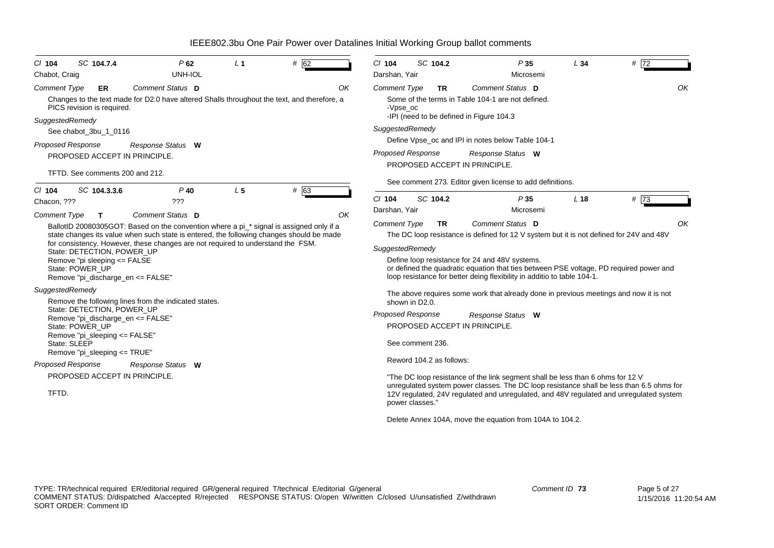| $CI$ 104<br>Chabot, Craig | SC 104.7.4                                                                           | P62<br>UNH-IOL                                                                                                                                                              | L <sub>1</sub> | # 62 | $Cl$ 104<br>Darshan, Yair       | SC 104.2                 | P35<br>Microsemi                                                                                                                                                                                                    | L34             | # $\overline{72}$ |
|---------------------------|--------------------------------------------------------------------------------------|-----------------------------------------------------------------------------------------------------------------------------------------------------------------------------|----------------|------|---------------------------------|--------------------------|---------------------------------------------------------------------------------------------------------------------------------------------------------------------------------------------------------------------|-----------------|-------------------|
| <b>Comment Type</b>       | <b>ER</b><br>PICS revision is required.                                              | Comment Status D<br>Changes to the text made for D2.0 have altered Shalls throughout the text, and therefore, a                                                             |                | OK   | <b>Comment Type</b><br>-Vpse oc | <b>TR</b>                | Comment Status D<br>Some of the terms in Table 104-1 are not defined.<br>-IPI (need to be defined in Figure 104.3                                                                                                   |                 | OK                |
| SuggestedRemedy           | See chabot_3bu_1_0116                                                                |                                                                                                                                                                             |                |      | SuggestedRemedy                 |                          |                                                                                                                                                                                                                     |                 |                   |
|                           | Proposed Response                                                                    | Response Status W                                                                                                                                                           |                |      |                                 |                          | Define Vpse_oc and IPI in notes below Table 104-1                                                                                                                                                                   |                 |                   |
|                           | PROPOSED ACCEPT IN PRINCIPLE.                                                        |                                                                                                                                                                             |                |      | <b>Proposed Response</b>        |                          | Response Status W<br>PROPOSED ACCEPT IN PRINCIPLE.                                                                                                                                                                  |                 |                   |
|                           | TFTD. See comments 200 and 212.                                                      |                                                                                                                                                                             |                |      |                                 |                          | See comment 273. Editor given license to add definitions.                                                                                                                                                           |                 |                   |
| $Cl$ 104<br>Chacon, ???   | SC 104.3.3.6                                                                         | $P$ 40<br>???                                                                                                                                                               | L <sub>5</sub> | # 63 | $Cl$ 104                        | SC 104.2                 | P35                                                                                                                                                                                                                 | L <sub>18</sub> | # $\sqrt{73}$     |
| <b>Comment Type</b>       | т                                                                                    | Comment Status D                                                                                                                                                            |                | OK   | Darshan, Yair                   |                          | Microsemi                                                                                                                                                                                                           |                 |                   |
|                           |                                                                                      | BallotID 20080305GOT: Based on the convention where a pi_* signal is assigned only if a                                                                                     |                |      | <b>Comment Type</b>             | <b>TR</b>                | Comment Status D                                                                                                                                                                                                    |                 | OK                |
|                           |                                                                                      | state changes its value when such state is entered, the following changes should be made<br>for consistency. However, these changes are not required to understand the FSM. |                |      |                                 |                          | The DC loop resistance is defined for 12 V system but it is not defined for 24V and 48V                                                                                                                             |                 |                   |
|                           | State: DETECTION, POWER UP                                                           |                                                                                                                                                                             |                |      | SuggestedRemedy                 |                          |                                                                                                                                                                                                                     |                 |                   |
|                           | Remove "pi sleeping <= FALSE<br>State: POWER UP<br>Remove "pi discharge en <= FALSE" |                                                                                                                                                                             |                |      |                                 |                          | Define loop resistance for 24 and 48V systems.<br>or defined the quadratic equation that ties between PSE voltage, PD required power and<br>loop resistance for better deing flexibility in additio to table 104-1. |                 |                   |
| SuggestedRemedy           |                                                                                      | Remove the following lines from the indicated states.                                                                                                                       |                |      |                                 | shown in D2.0.           | The above requires some work that already done in previous meetings and now it is not                                                                                                                               |                 |                   |
|                           | State: DETECTION, POWER UP<br>Remove "pi_discharge_en <= FALSE"                      |                                                                                                                                                                             |                |      | <b>Proposed Response</b>        |                          | Response Status W                                                                                                                                                                                                   |                 |                   |
|                           | State: POWER UP                                                                      |                                                                                                                                                                             |                |      |                                 |                          | PROPOSED ACCEPT IN PRINCIPLE.                                                                                                                                                                                       |                 |                   |
|                           | Remove "pi_sleeping <= FALSE"<br>State: SLEEP<br>Remove "pi_sleeping <= TRUE"        |                                                                                                                                                                             |                |      |                                 | See comment 236.         |                                                                                                                                                                                                                     |                 |                   |
|                           | <b>Proposed Response</b>                                                             | Response Status W                                                                                                                                                           |                |      |                                 | Reword 104.2 as follows: |                                                                                                                                                                                                                     |                 |                   |
|                           | PROPOSED ACCEPT IN PRINCIPLE.                                                        |                                                                                                                                                                             |                |      |                                 |                          | "The DC loop resistance of the link segment shall be less than 6 ohms for 12 V                                                                                                                                      |                 |                   |
| TFTD.                     |                                                                                      |                                                                                                                                                                             |                |      |                                 | power classes."          | unrequiated system power classes. The DC loop resistance shall be less than 6.5 ohms for<br>12V regulated, 24V regulated and unregulated, and 48V regulated and unregulated system                                  |                 |                   |
|                           |                                                                                      |                                                                                                                                                                             |                |      |                                 |                          | Delete Annex 104A, move the equation from 104A to 104.2.                                                                                                                                                            |                 |                   |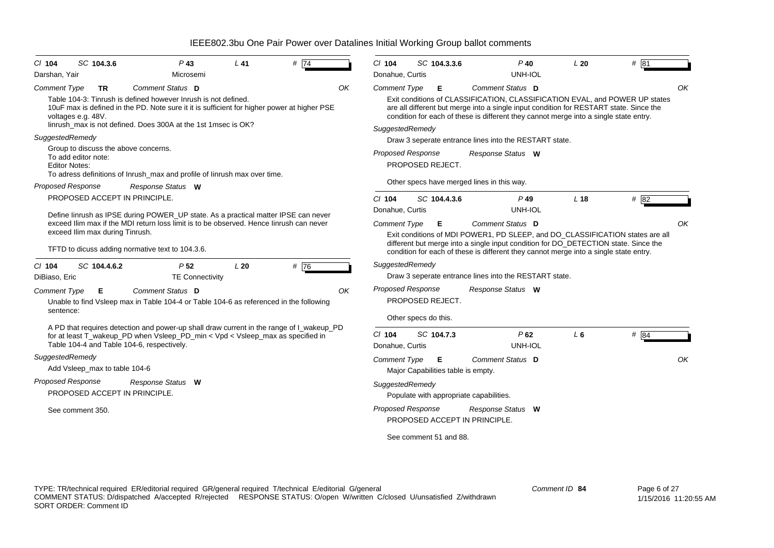| $CI$ 104                         | SC 104.3.6                                                  | $P$ 43                                                                                                                                                                                                                          | L41 | # 74 |    | $Cl$ 104                                                                                                                                                                                                                                                                          |              | SC 104.3.3.6                            | $P$ 40                                                                                                                                                                                                                                                        | L20             | # 81   |  |  |  |
|----------------------------------|-------------------------------------------------------------|---------------------------------------------------------------------------------------------------------------------------------------------------------------------------------------------------------------------------------|-----|------|----|-----------------------------------------------------------------------------------------------------------------------------------------------------------------------------------------------------------------------------------------------------------------------------------|--------------|-----------------------------------------|---------------------------------------------------------------------------------------------------------------------------------------------------------------------------------------------------------------------------------------------------------------|-----------------|--------|--|--|--|
| Darshan, Yair                    |                                                             | Microsemi                                                                                                                                                                                                                       |     |      |    | Donahue, Curtis                                                                                                                                                                                                                                                                   |              |                                         | UNH-IOL                                                                                                                                                                                                                                                       |                 |        |  |  |  |
| Comment Type                     | <b>TR</b>                                                   | Comment Status D                                                                                                                                                                                                                |     |      | OK | <b>Comment Type</b>                                                                                                                                                                                                                                                               |              | Е                                       | Comment Status D                                                                                                                                                                                                                                              |                 | OK     |  |  |  |
|                                  | voltages e.g. 48V.                                          | Table 104-3: Tinrush is defined however Inrush is not defined.<br>10uF max is defined in the PD. Note sure it it is sufficient for higher power at higher PSE<br>linrush max is not defined. Does 300A at the 1st 1 msec is OK? |     |      |    | Exit conditions of CLASSIFICATION, CLASSIFICATION EVAL, and POWER UP states<br>are all different but merge into a single input condition for RESTART state. Since the<br>condition for each of these is different they cannot merge into a single state entry.<br>SuggestedRemedy |              |                                         |                                                                                                                                                                                                                                                               |                 |        |  |  |  |
| SuggestedRemedy                  |                                                             |                                                                                                                                                                                                                                 |     |      |    |                                                                                                                                                                                                                                                                                   |              |                                         | Draw 3 seperate entrance lines into the RESTART state.                                                                                                                                                                                                        |                 |        |  |  |  |
| <b>Editor Notes:</b>             | Group to discuss the above concerns.<br>To add editor note: | To adress definitions of Inrush_max and profile of Iinrush max over time.                                                                                                                                                       |     |      |    | <b>Proposed Response</b>                                                                                                                                                                                                                                                          |              | PROPOSED REJECT.                        | Response Status W                                                                                                                                                                                                                                             |                 |        |  |  |  |
| <b>Proposed Response</b>         |                                                             | Response Status W                                                                                                                                                                                                               |     |      |    |                                                                                                                                                                                                                                                                                   |              |                                         | Other specs have merged lines in this way.                                                                                                                                                                                                                    |                 |        |  |  |  |
|                                  | PROPOSED ACCEPT IN PRINCIPLE.                               |                                                                                                                                                                                                                                 |     |      |    | $CI$ 104                                                                                                                                                                                                                                                                          | SC 104.4.3.6 |                                         | $P$ 49                                                                                                                                                                                                                                                        | L <sub>18</sub> | # 82   |  |  |  |
|                                  |                                                             | Define linrush as IPSE during POWER_UP state. As a practical matter IPSE can never                                                                                                                                              |     |      |    | Donahue, Curtis                                                                                                                                                                                                                                                                   |              |                                         | UNH-IOL                                                                                                                                                                                                                                                       |                 |        |  |  |  |
|                                  |                                                             | exceed Ilim max if the MDI return loss limit is to be observed. Hence linrush can never                                                                                                                                         |     |      |    | Comment Type                                                                                                                                                                                                                                                                      |              | Е                                       | Comment Status D                                                                                                                                                                                                                                              |                 | OK     |  |  |  |
|                                  | exceed Ilim max during Tinrush.                             | TFTD to dicuss adding normative text to 104.3.6.                                                                                                                                                                                |     |      |    |                                                                                                                                                                                                                                                                                   |              |                                         | Exit conditions of MDI POWER1, PD SLEEP, and DO_CLASSIFICATION states are all<br>different but merge into a single input condition for DO_DETECTION state. Since the<br>condition for each of these is different they cannot merge into a single state entry. |                 |        |  |  |  |
| $Cl$ 104<br>DiBiaso, Eric        | SC 104.4.6.2                                                | P <sub>52</sub><br><b>TE Connectivity</b>                                                                                                                                                                                       | L20 | # 76 |    | SuggestedRemedy                                                                                                                                                                                                                                                                   |              |                                         | Draw 3 seperate entrance lines into the RESTART state.                                                                                                                                                                                                        |                 |        |  |  |  |
| <b>Comment Type</b><br>sentence: | Е                                                           | Comment Status D<br>Unable to find Vsleep max in Table 104-4 or Table 104-6 as referenced in the following                                                                                                                      |     |      | OK | <b>Proposed Response</b><br>Other specs do this.                                                                                                                                                                                                                                  |              | PROPOSED REJECT.                        | Response Status W                                                                                                                                                                                                                                             |                 |        |  |  |  |
|                                  |                                                             | A PD that requires detection and power-up shall draw current in the range of I_wakeup_PD<br>for at least T wakeup PD when Vsleep PD min < Vpd < Vsleep max as specified in<br>Table 104-4 and Table 104-6, respectively.        |     |      |    | $CI$ 104<br>Donahue, Curtis                                                                                                                                                                                                                                                       |              | SC 104.7.3                              | P62<br>UNH-IOL                                                                                                                                                                                                                                                | $L_6$           | # $84$ |  |  |  |
| SuggestedRemedy                  | Add Vsleep_max to table 104-6                               |                                                                                                                                                                                                                                 |     |      |    | <b>Comment Type</b>                                                                                                                                                                                                                                                               |              | E<br>Major Capabilities table is empty. | Comment Status D                                                                                                                                                                                                                                              |                 | OK     |  |  |  |
| <b>Proposed Response</b>         | PROPOSED ACCEPT IN PRINCIPLE.                               | Response Status W                                                                                                                                                                                                               |     |      |    | SuggestedRemedy                                                                                                                                                                                                                                                                   |              |                                         | Populate with appropriate capabilities.                                                                                                                                                                                                                       |                 |        |  |  |  |
|                                  | See comment 350.                                            |                                                                                                                                                                                                                                 |     |      |    | <b>Proposed Response</b>                                                                                                                                                                                                                                                          |              |                                         | Response Status W<br>PROPOSED ACCEPT IN PRINCIPLE.                                                                                                                                                                                                            |                 |        |  |  |  |
|                                  |                                                             |                                                                                                                                                                                                                                 |     |      |    |                                                                                                                                                                                                                                                                                   |              | See comment 51 and 88.                  |                                                                                                                                                                                                                                                               |                 |        |  |  |  |
|                                  |                                                             |                                                                                                                                                                                                                                 |     |      |    |                                                                                                                                                                                                                                                                                   |              |                                         |                                                                                                                                                                                                                                                               |                 |        |  |  |  |
|                                  |                                                             |                                                                                                                                                                                                                                 |     |      |    |                                                                                                                                                                                                                                                                                   |              |                                         |                                                                                                                                                                                                                                                               |                 |        |  |  |  |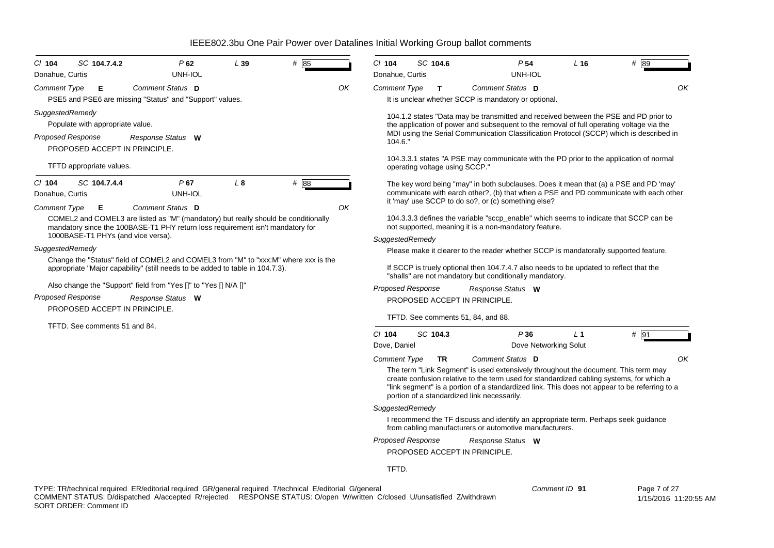| SC 104.7.4.2<br>$CI$ 104<br>Donahue, Curtis                                                                                                  | P62<br>UNH-IOL                                                                                                                                                                           | L39          | # 85 |    | CI 104<br>Donahue, Curtis | SC 104.6                           | P <sub>54</sub><br>UNH-IOL                                                                                                                                                                                                                                                                                                                                            | L <sub>16</sub> | # 89                                                                                  |
|----------------------------------------------------------------------------------------------------------------------------------------------|------------------------------------------------------------------------------------------------------------------------------------------------------------------------------------------|--------------|------|----|---------------------------|------------------------------------|-----------------------------------------------------------------------------------------------------------------------------------------------------------------------------------------------------------------------------------------------------------------------------------------------------------------------------------------------------------------------|-----------------|---------------------------------------------------------------------------------------|
| <b>Comment Type</b><br>Е                                                                                                                     | Comment Status D<br>PSE5 and PSE6 are missing "Status" and "Support" values.                                                                                                             |              |      | OK | <b>Comment Type</b>       | T                                  | Comment Status D<br>It is unclear whether SCCP is mandatory or optional.                                                                                                                                                                                                                                                                                              |                 | OK                                                                                    |
| SuggestedRemedy<br>Populate with appropriate value.<br><b>Proposed Response</b><br>PROPOSED ACCEPT IN PRINCIPLE.<br>TFTD appropriate values. | Response Status W                                                                                                                                                                        |              |      |    | 104.6."                   | operating voltage using SCCP."     | 104.1.2 states "Data may be transmitted and received between the PSE and PD prior to<br>the application of power and subsequent to the removal of full operating voltage via the<br>MDI using the Serial Communication Classification Protocol (SCCP) which is described in<br>104.3.3.1 states "A PSE may communicate with the PD prior to the application of normal |                 |                                                                                       |
| $Cl$ 104<br>SC 104.7.4.4<br>Donahue, Curtis                                                                                                  | P67<br>UNH-IOL                                                                                                                                                                           | $L_{\delta}$ | # 88 |    |                           |                                    | The key word being "may" in both subclauses. Does it mean that (a) a PSE and PD 'may'<br>it 'may' use SCCP to do so?, or (c) something else?                                                                                                                                                                                                                          |                 | communicate with earch other?, (b) that when a PSE and PD communicate with each other |
| <b>Comment Type</b><br>Е<br>1000BASE-T1 PHYs (and vice versa).                                                                               | Comment Status D<br>COMEL2 and COMEL3 are listed as "M" (mandatory) but really should be conditionally<br>mandatory since the 100BASE-T1 PHY return loss requirement isn't mandatory for |              |      | OK | SuggestedRemedy           |                                    | 104.3.3.3 defines the variable "sccp_enable" which seems to indicate that SCCP can be<br>not supported, meaning it is a non-mandatory feature.                                                                                                                                                                                                                        |                 |                                                                                       |
| SuggestedRemedy                                                                                                                              |                                                                                                                                                                                          |              |      |    |                           |                                    | Please make it clearer to the reader whether SCCP is mandatorally supported feature.                                                                                                                                                                                                                                                                                  |                 |                                                                                       |
|                                                                                                                                              | Change the "Status" field of COMEL2 and COMEL3 from "M" to "xxx:M" where xxx is the<br>appropriate "Major capability" (still needs to be added to table in 104.7.3).                     |              |      |    |                           |                                    | If SCCP is truely optional then 104.7.4.7 also needs to be updated to reflect that the<br>"shalls" are not mandatory but conditionally mandatory.                                                                                                                                                                                                                     |                 |                                                                                       |
|                                                                                                                                              | Also change the "Support" field from "Yes []" to "Yes [] N/A []"                                                                                                                         |              |      |    |                           | Proposed Response                  | Response Status W                                                                                                                                                                                                                                                                                                                                                     |                 |                                                                                       |
| Proposed Response                                                                                                                            | Response Status W                                                                                                                                                                        |              |      |    |                           | PROPOSED ACCEPT IN PRINCIPLE.      |                                                                                                                                                                                                                                                                                                                                                                       |                 |                                                                                       |
| PROPOSED ACCEPT IN PRINCIPLE.                                                                                                                |                                                                                                                                                                                          |              |      |    |                           | TFTD. See comments 51, 84, and 88. |                                                                                                                                                                                                                                                                                                                                                                       |                 |                                                                                       |
| TFTD. See comments 51 and 84.                                                                                                                |                                                                                                                                                                                          |              |      |    | $CI$ 104                  | SC 104.3                           | P36                                                                                                                                                                                                                                                                                                                                                                   | L <sub>1</sub>  | # 91                                                                                  |
|                                                                                                                                              |                                                                                                                                                                                          |              |      |    | Dove, Daniel              |                                    | Dove Networking Solut                                                                                                                                                                                                                                                                                                                                                 |                 |                                                                                       |
|                                                                                                                                              |                                                                                                                                                                                          |              |      |    | <b>Comment Type</b>       | <b>TR</b>                          | Comment Status D                                                                                                                                                                                                                                                                                                                                                      |                 | ΟK                                                                                    |
|                                                                                                                                              |                                                                                                                                                                                          |              |      |    |                           |                                    | The term "Link Segment" is used extensively throughout the document. This term may<br>create confusion relative to the term used for standardized cabling systems, for which a<br>"link segment" is a portion of a standardized link. This does not appear to be referring to a<br>portion of a standardized link necessarily.                                        |                 |                                                                                       |
|                                                                                                                                              |                                                                                                                                                                                          |              |      |    | SuggestedRemedy           |                                    |                                                                                                                                                                                                                                                                                                                                                                       |                 |                                                                                       |
|                                                                                                                                              |                                                                                                                                                                                          |              |      |    |                           |                                    | I recommend the TF discuss and identify an appropriate term. Perhaps seek guidance<br>from cabling manufacturers or automotive manufacturers.                                                                                                                                                                                                                         |                 |                                                                                       |
|                                                                                                                                              |                                                                                                                                                                                          |              |      |    | <b>Proposed Response</b>  | PROPOSED ACCEPT IN PRINCIPLE.      | Response Status W                                                                                                                                                                                                                                                                                                                                                     |                 |                                                                                       |

TFTD.

TYPE: TR/technical required ER/editorial required GR/general required T/technical E/editorial G/general COMMENT STATUS: D/dispatched A/accepted R/rejected RESPONSE STATUS: O/open W/written C/closed U/unsatisfied Z/withdrawn SORT ORDER: Comment ID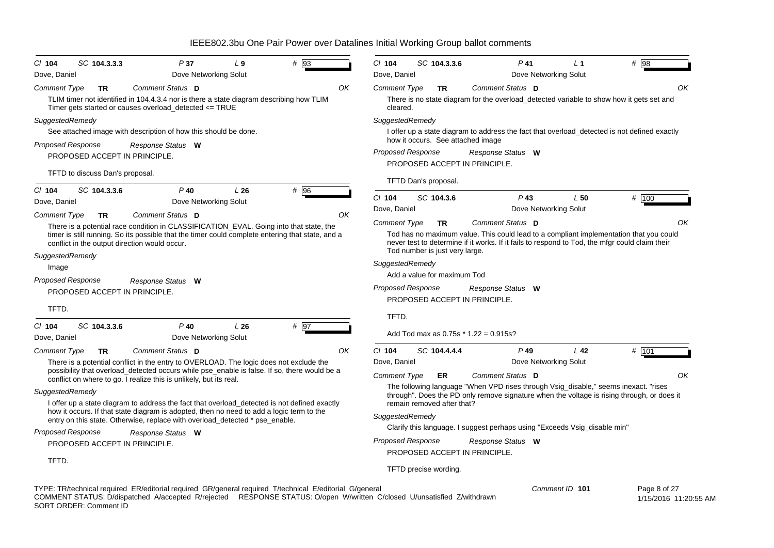| # 93<br>SC 104.3.3.3<br>P37<br>$L_{9}$<br>$CI$ 104<br>Dove, Daniel<br>Dove Networking Solut                                                                                                                                                                                                               | $Cl$ 104<br>SC 104.3.3.6<br>$P$ 41<br># 98<br>L <sub>1</sub><br>Dove, Daniel<br>Dove Networking Solut                                                                                                                                                                             |  |  |  |  |  |  |  |  |  |  |
|-----------------------------------------------------------------------------------------------------------------------------------------------------------------------------------------------------------------------------------------------------------------------------------------------------------|-----------------------------------------------------------------------------------------------------------------------------------------------------------------------------------------------------------------------------------------------------------------------------------|--|--|--|--|--|--|--|--|--|--|
|                                                                                                                                                                                                                                                                                                           | OK                                                                                                                                                                                                                                                                                |  |  |  |  |  |  |  |  |  |  |
| Comment Status D<br>OK<br><b>Comment Type</b><br>TR<br>TLIM timer not identified in 104.4.3.4 nor is there a state diagram describing how TLIM<br>Timer gets started or causes overload_detected <= TRUE                                                                                                  | Comment Status D<br>Comment Type<br>TR<br>There is no state diagram for the overload_detected variable to show how it gets set and<br>cleared.                                                                                                                                    |  |  |  |  |  |  |  |  |  |  |
| SuggestedRemedy<br>See attached image with description of how this should be done.                                                                                                                                                                                                                        | SuggestedRemedy<br>I offer up a state diagram to address the fact that overload_detected is not defined exactly<br>how it occurs. See attached image                                                                                                                              |  |  |  |  |  |  |  |  |  |  |
| <b>Proposed Response</b><br>Response Status W<br>PROPOSED ACCEPT IN PRINCIPLE.                                                                                                                                                                                                                            | <b>Proposed Response</b><br>Response Status W<br>PROPOSED ACCEPT IN PRINCIPLE.                                                                                                                                                                                                    |  |  |  |  |  |  |  |  |  |  |
| TFTD to discuss Dan's proposal.                                                                                                                                                                                                                                                                           | TFTD Dan's proposal.                                                                                                                                                                                                                                                              |  |  |  |  |  |  |  |  |  |  |
| $CI$ 104<br>SC 104.3.3.6<br>$P$ 40<br>L26<br># 96<br>Dove Networking Solut<br>Dove, Daniel                                                                                                                                                                                                                | # 100<br>$CI$ 104<br>SC 104.3.6<br>$P$ 43<br>L50<br>Dove, Daniel<br>Dove Networking Solut                                                                                                                                                                                         |  |  |  |  |  |  |  |  |  |  |
| OK<br>Comment Status D<br><b>Comment Type</b><br><b>TR</b><br>There is a potential race condition in CLASSIFICATION_EVAL. Going into that state, the<br>timer is still running. So its possible that the timer could complete entering that state, and a<br>conflict in the output direction would occur. | Comment Status D<br>OK<br>Comment Type<br><b>TR</b><br>Tod has no maximum value. This could lead to a compliant implementation that you could<br>never test to determine if it works. If it fails to respond to Tod, the mfgr could claim their<br>Tod number is just very large. |  |  |  |  |  |  |  |  |  |  |
| SuggestedRemedy                                                                                                                                                                                                                                                                                           | SuggestedRemedy                                                                                                                                                                                                                                                                   |  |  |  |  |  |  |  |  |  |  |
| Image                                                                                                                                                                                                                                                                                                     | Add a value for maximum Tod                                                                                                                                                                                                                                                       |  |  |  |  |  |  |  |  |  |  |
| Proposed Response<br>Response Status W                                                                                                                                                                                                                                                                    | <b>Proposed Response</b><br>Response Status W                                                                                                                                                                                                                                     |  |  |  |  |  |  |  |  |  |  |
| PROPOSED ACCEPT IN PRINCIPLE.<br>TFTD.                                                                                                                                                                                                                                                                    | PROPOSED ACCEPT IN PRINCIPLE.                                                                                                                                                                                                                                                     |  |  |  |  |  |  |  |  |  |  |
|                                                                                                                                                                                                                                                                                                           | TFTD.                                                                                                                                                                                                                                                                             |  |  |  |  |  |  |  |  |  |  |
| SC 104.3.3.6<br># 97<br>$CI$ 104<br>$P$ 40<br>L26<br>Dove, Daniel<br>Dove Networking Solut                                                                                                                                                                                                                | Add Tod max as $0.75s * 1.22 = 0.915s$ ?                                                                                                                                                                                                                                          |  |  |  |  |  |  |  |  |  |  |
| Comment Status D<br>Comment Type<br>OK<br><b>TR</b>                                                                                                                                                                                                                                                       | # 101<br>$CI$ 104<br>SC 104.4.4.4<br>$P$ 49<br>L <sub>42</sub>                                                                                                                                                                                                                    |  |  |  |  |  |  |  |  |  |  |
| There is a potential conflict in the entry to OVERLOAD. The logic does not exclude the                                                                                                                                                                                                                    | Dove, Daniel<br>Dove Networking Solut                                                                                                                                                                                                                                             |  |  |  |  |  |  |  |  |  |  |
| possibility that overload_detected occurs while pse_enable is false. If so, there would be a<br>conflict on where to go. I realize this is unlikely, but its real.                                                                                                                                        | OK<br><b>Comment Type</b><br>ER<br>Comment Status D                                                                                                                                                                                                                               |  |  |  |  |  |  |  |  |  |  |
| SuggestedRemedy                                                                                                                                                                                                                                                                                           | The following language "When VPD rises through Vsig_disable," seems inexact. "rises                                                                                                                                                                                               |  |  |  |  |  |  |  |  |  |  |
| I offer up a state diagram to address the fact that overload_detected is not defined exactly                                                                                                                                                                                                              | through". Does the PD only remove signature when the voltage is rising through, or does it<br>remain removed after that?                                                                                                                                                          |  |  |  |  |  |  |  |  |  |  |
| how it occurs. If that state diagram is adopted, then no need to add a logic term to the<br>entry on this state. Otherwise, replace with overload_detected * pse_enable.                                                                                                                                  | SuggestedRemedy                                                                                                                                                                                                                                                                   |  |  |  |  |  |  |  |  |  |  |
| <b>Proposed Response</b><br>Response Status W                                                                                                                                                                                                                                                             | Clarify this language. I suggest perhaps using "Exceeds Vsig_disable min"                                                                                                                                                                                                         |  |  |  |  |  |  |  |  |  |  |
| PROPOSED ACCEPT IN PRINCIPLE.                                                                                                                                                                                                                                                                             | <b>Proposed Response</b><br>Response Status W                                                                                                                                                                                                                                     |  |  |  |  |  |  |  |  |  |  |
|                                                                                                                                                                                                                                                                                                           | PROPOSED ACCEPT IN PRINCIPLE.                                                                                                                                                                                                                                                     |  |  |  |  |  |  |  |  |  |  |
| TFTD.                                                                                                                                                                                                                                                                                                     | TFTD precise wording.                                                                                                                                                                                                                                                             |  |  |  |  |  |  |  |  |  |  |
| TYPE: TR/technical required ER/editorial required GR/general required T/technical E/editorial G/general<br>COMMENT CIATUC: D/dionatobod Maccontad D/sciented DECDONCE CIATUC: O/gnon W/www.tton C/slogged U/wastigfied Z/withdrawn                                                                        | Comment ID 101<br>Page 8 of 27                                                                                                                                                                                                                                                    |  |  |  |  |  |  |  |  |  |  |

COMMENT STATUS: D/dispatched A/accepted R/rejected RESPONSE STATUS: O/open W/written C/closed U/unsatisfied Z/withdrawn SORT ORDER: Comment ID

1/15/2016 11:20:55 AM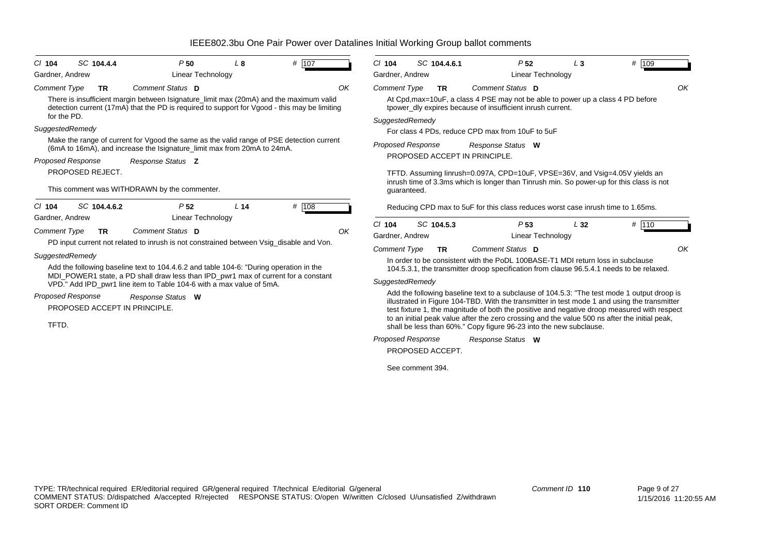| SC 104.4.4<br>P50<br>L <sub>8</sub><br>$CI$ 104                                                                                                                                                       | # 107 | $CI$ 104                                                                                                                                                                    | SC 104.4.6.1     | P <sub>52</sub>                                                                                                                                                                                                                                                                                                                                                                                                                                                   | $L_3$ | # 109 |  |  |  |  |  |  |  |
|-------------------------------------------------------------------------------------------------------------------------------------------------------------------------------------------------------|-------|-----------------------------------------------------------------------------------------------------------------------------------------------------------------------------|------------------|-------------------------------------------------------------------------------------------------------------------------------------------------------------------------------------------------------------------------------------------------------------------------------------------------------------------------------------------------------------------------------------------------------------------------------------------------------------------|-------|-------|--|--|--|--|--|--|--|
| Gardner, Andrew<br>Linear Technology                                                                                                                                                                  |       | Gardner, Andrew                                                                                                                                                             |                  | Linear Technology                                                                                                                                                                                                                                                                                                                                                                                                                                                 |       |       |  |  |  |  |  |  |  |
| Comment Status D<br><b>Comment Type</b><br><b>TR</b>                                                                                                                                                  | OK    | <b>Comment Type</b>                                                                                                                                                         | <b>TR</b>        | Comment Status D                                                                                                                                                                                                                                                                                                                                                                                                                                                  |       | OK    |  |  |  |  |  |  |  |
| There is insufficient margin between Isignature_limit max (20mA) and the maximum valid<br>detection current (17mA) that the PD is required to support for Vgood - this may be limiting<br>for the PD. |       | At Cpd, max=10uF, a class 4 PSE may not be able to power up a class 4 PD before<br>tpower dly expires because of insufficient inrush current.                               |                  |                                                                                                                                                                                                                                                                                                                                                                                                                                                                   |       |       |  |  |  |  |  |  |  |
| SuggestedRemedy                                                                                                                                                                                       |       | SuggestedRemedy                                                                                                                                                             |                  |                                                                                                                                                                                                                                                                                                                                                                                                                                                                   |       |       |  |  |  |  |  |  |  |
| Make the range of current for Vgood the same as the valid range of PSE detection current                                                                                                              |       |                                                                                                                                                                             |                  | For class 4 PDs, reduce CPD max from 10uF to 5uF                                                                                                                                                                                                                                                                                                                                                                                                                  |       |       |  |  |  |  |  |  |  |
| (6mA to 16mA), and increase the Isignature_limit max from 20mA to 24mA.                                                                                                                               |       | <b>Proposed Response</b>                                                                                                                                                    |                  | Response Status W                                                                                                                                                                                                                                                                                                                                                                                                                                                 |       |       |  |  |  |  |  |  |  |
| <b>Proposed Response</b><br>Response Status Z                                                                                                                                                         |       |                                                                                                                                                                             |                  | PROPOSED ACCEPT IN PRINCIPLE.                                                                                                                                                                                                                                                                                                                                                                                                                                     |       |       |  |  |  |  |  |  |  |
| PROPOSED REJECT.                                                                                                                                                                                      |       |                                                                                                                                                                             |                  | TFTD. Assuming linrush=0.097A, CPD=10uF, VPSE=36V, and Vsig=4.05V yields an<br>inrush time of 3.3ms which is longer than Tinrush min. So power-up for this class is not                                                                                                                                                                                                                                                                                           |       |       |  |  |  |  |  |  |  |
| This comment was WITHDRAWN by the commenter.                                                                                                                                                          |       | guaranteed.                                                                                                                                                                 |                  |                                                                                                                                                                                                                                                                                                                                                                                                                                                                   |       |       |  |  |  |  |  |  |  |
| SC 104.4.6.2<br>P <sub>52</sub><br>L <sub>14</sub><br>$CI$ 104                                                                                                                                        | # 108 |                                                                                                                                                                             |                  | Reducing CPD max to 5uF for this class reduces worst case inrush time to 1.65ms.                                                                                                                                                                                                                                                                                                                                                                                  |       |       |  |  |  |  |  |  |  |
| <b>Linear Technology</b><br>Gardner, Andrew                                                                                                                                                           |       |                                                                                                                                                                             |                  |                                                                                                                                                                                                                                                                                                                                                                                                                                                                   |       |       |  |  |  |  |  |  |  |
| Comment Status D<br>Comment Type<br><b>TR</b>                                                                                                                                                         | OK    | $Cl$ 104<br>Gardner, Andrew                                                                                                                                                 | SC 104.5.3       | P <sub>53</sub>                                                                                                                                                                                                                                                                                                                                                                                                                                                   | L32   | # 110 |  |  |  |  |  |  |  |
| PD input current not related to inrush is not constrained between Vsig_disable and Von.                                                                                                               |       |                                                                                                                                                                             |                  | Linear Technology                                                                                                                                                                                                                                                                                                                                                                                                                                                 |       |       |  |  |  |  |  |  |  |
| SuggestedRemedy                                                                                                                                                                                       |       | <b>Comment Type</b>                                                                                                                                                         | <b>TR</b>        | Comment Status D                                                                                                                                                                                                                                                                                                                                                                                                                                                  |       | OK    |  |  |  |  |  |  |  |
| Add the following baseline text to 104.4.6.2 and table 104-6: "During operation in the                                                                                                                |       | In order to be consistent with the PoDL 100BASE-T1 MDI return loss in subclause<br>104.5.3.1, the transmitter droop specification from clause 96.5.4.1 needs to be relaxed. |                  |                                                                                                                                                                                                                                                                                                                                                                                                                                                                   |       |       |  |  |  |  |  |  |  |
| MDI_POWER1 state, a PD shall draw less than IPD_pwr1 max of current for a constant<br>VPD." Add IPD_pwr1 line item to Table 104-6 with a max value of 5mA.                                            |       | SuggestedRemedy                                                                                                                                                             |                  |                                                                                                                                                                                                                                                                                                                                                                                                                                                                   |       |       |  |  |  |  |  |  |  |
| <b>Proposed Response</b><br>Response Status W<br>PROPOSED ACCEPT IN PRINCIPLE.<br>TFTD.                                                                                                               |       |                                                                                                                                                                             |                  | Add the following baseline text to a subclause of 104.5.3: "The test mode 1 output droop is<br>illustrated in Figure 104-TBD. With the transmitter in test mode 1 and using the transmitter<br>test fixture 1, the magnitude of both the positive and negative droop measured with respect<br>to an initial peak value after the zero crossing and the value 500 ns after the initial peak,<br>shall be less than 60%." Copy figure 96-23 into the new subclause. |       |       |  |  |  |  |  |  |  |
|                                                                                                                                                                                                       |       | <b>Proposed Response</b>                                                                                                                                                    |                  | Response Status W                                                                                                                                                                                                                                                                                                                                                                                                                                                 |       |       |  |  |  |  |  |  |  |
|                                                                                                                                                                                                       |       |                                                                                                                                                                             | PROPOSED ACCEPT. |                                                                                                                                                                                                                                                                                                                                                                                                                                                                   |       |       |  |  |  |  |  |  |  |

See comment 394.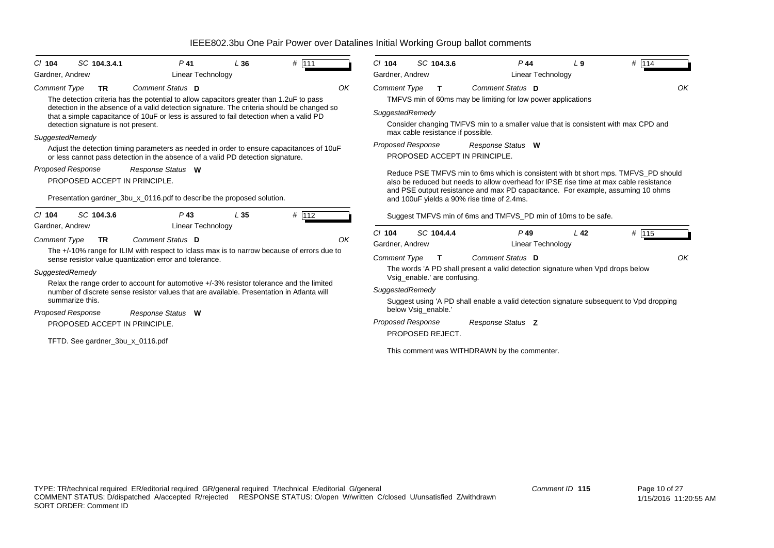| SC 104.3.4.1<br>$Cl$ 104<br>Gardner, Andrew        | $P$ 41<br><b>Linear Technology</b>                                                                                                                                                   | L36             | # 111 |    | $Cl$ 104<br>Gardner, Andrew | SC 104.3.6                        |    | $P$ 44<br>Linear Technology                                                                                                                                                                                                                                                                                   | L <sub>9</sub>  | # 114 |
|----------------------------------------------------|--------------------------------------------------------------------------------------------------------------------------------------------------------------------------------------|-----------------|-------|----|-----------------------------|-----------------------------------|----|---------------------------------------------------------------------------------------------------------------------------------------------------------------------------------------------------------------------------------------------------------------------------------------------------------------|-----------------|-------|
| <b>Comment Type</b><br><b>TR</b>                   | Comment Status D<br>The detection criteria has the potential to allow capacitors greater than 1.2uF to pass                                                                          |                 |       | OK | Comment Type                | T                                 |    | Comment Status D<br>TMFVS min of 60ms may be limiting for low power applications                                                                                                                                                                                                                              |                 | OK    |
| detection signature is not present.                | detection in the absence of a valid detection signature. The criteria should be changed so<br>that a simple capacitance of 10uF or less is assured to fail detection when a valid PD |                 |       |    | SuggestedRemedy             | max cable resistance if possible. |    | Consider changing TMFVS min to a smaller value that is consistent with max CPD and                                                                                                                                                                                                                            |                 |       |
| SuggestedRemedy                                    | Adjust the detection timing parameters as needed in order to ensure capacitances of 10uF<br>or less cannot pass detection in the absence of a valid PD detection signature.          |                 |       |    | <b>Proposed Response</b>    |                                   |    | Response Status W<br>PROPOSED ACCEPT IN PRINCIPLE.                                                                                                                                                                                                                                                            |                 |       |
| Proposed Response<br>PROPOSED ACCEPT IN PRINCIPLE. | Response Status W<br>Presentation gardner_3bu_x_0116.pdf to describe the proposed solution.                                                                                          |                 |       |    |                             |                                   |    | Reduce PSE TMFVS min to 6ms which is consistent with bt short mps. TMFVS PD should<br>also be reduced but needs to allow overhead for IPSE rise time at max cable resistance<br>and PSE output resistance and max PD capacitance. For example, assuming 10 ohms<br>and 100uF yields a 90% rise time of 2.4ms. |                 |       |
| SC 104.3.6<br>$Cl$ 104<br>Gardner, Andrew          | $P$ 43<br><b>Linear Technology</b>                                                                                                                                                   | L <sub>35</sub> | # 112 |    |                             |                                   |    | Suggest TMFVS min of 6ms and TMFVS_PD min of 10ms to be safe.                                                                                                                                                                                                                                                 |                 |       |
| <b>Comment Type</b><br><b>TR</b>                   | Comment Status D<br>The +/-10% range for ILIM with respect to Iclass max is to narrow because of errors due to                                                                       |                 |       | OK | $Cl$ 104<br>Gardner, Andrew | SC 104.4.4                        |    | $P$ 49<br>Linear Technology                                                                                                                                                                                                                                                                                   | L <sub>42</sub> | # 115 |
|                                                    | sense resistor value quantization error and tolerance.                                                                                                                               |                 |       |    | <b>Comment Type</b>         |                                   | T. | Comment Status D                                                                                                                                                                                                                                                                                              |                 | OK    |
| SuggestedRemedy                                    | Relax the range order to account for automotive +/-3% resistor tolerance and the limited                                                                                             |                 |       |    |                             | Vsig enable.' are confusing.      |    | The words 'A PD shall present a valid detection signature when Vpd drops below                                                                                                                                                                                                                                |                 |       |
|                                                    | number of discrete sense resistor values that are available. Presentation in Atlanta will                                                                                            |                 |       |    | SuggestedRemedy             |                                   |    |                                                                                                                                                                                                                                                                                                               |                 |       |
| summarize this.<br>Proposed Response               | Response Status W                                                                                                                                                                    |                 |       |    |                             | below Vsig enable."               |    | Suggest using 'A PD shall enable a valid detection signature subsequent to Vpd dropping                                                                                                                                                                                                                       |                 |       |
| PROPOSED ACCEPT IN PRINCIPLE.                      |                                                                                                                                                                                      |                 |       |    | Proposed Response           |                                   |    | Response Status Z                                                                                                                                                                                                                                                                                             |                 |       |
| TFTD. See gardner_3bu_x_0116.pdf                   |                                                                                                                                                                                      |                 |       |    |                             | PROPOSED REJECT.                  |    | This comment was WITHDRAWN by the commenter.                                                                                                                                                                                                                                                                  |                 |       |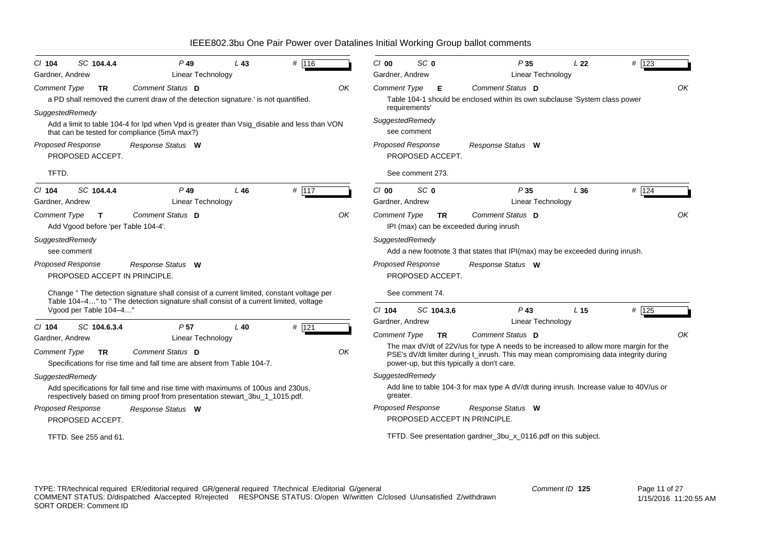| $CI$ 104<br>Gardner, Andrew            | SC 104.4.4                                          | $P$ 49<br>Linear Technology                                                                                                                                                                                                                           | $L$ 43 | # 116   |    | $Cl$ 00<br>Gardner, Andrew             | SC 0                                 |           | P35<br><b>Linear Technology</b>                                                                                                                                                                                              | L <sub>22</sub> | # 123   |
|----------------------------------------|-----------------------------------------------------|-------------------------------------------------------------------------------------------------------------------------------------------------------------------------------------------------------------------------------------------------------|--------|---------|----|----------------------------------------|--------------------------------------|-----------|------------------------------------------------------------------------------------------------------------------------------------------------------------------------------------------------------------------------------|-----------------|---------|
| <b>Comment Type</b><br>SuggestedRemedy | TR.                                                 | Comment Status D<br>a PD shall removed the current draw of the detection signature.' is not quantified.<br>Add a limit to table 104-4 for Ipd when Vpd is greater than Vsig_disable and less than VON<br>that can be tested for compliance (5mA max?) |        |         | OK | <b>Comment Type</b><br>SuggestedRemedy | requirements'<br>see comment         | Е         | Comment Status D<br>Table 104-1 should be enclosed within its own subclause 'System class power                                                                                                                              |                 | OK      |
| Proposed Response<br>TFTD.             | PROPOSED ACCEPT.                                    | Response Status W                                                                                                                                                                                                                                     |        |         |    | <b>Proposed Response</b>               | PROPOSED ACCEPT.<br>See comment 273. |           | Response Status W                                                                                                                                                                                                            |                 |         |
| $CI$ 104<br>Gardner, Andrew            | SC 104.4.4                                          | $P$ 49<br>Linear Technology                                                                                                                                                                                                                           | L46    | # $117$ |    | $Cl$ 00<br>Gardner, Andrew             | SC <sub>0</sub>                      |           | P35<br>Linear Technology                                                                                                                                                                                                     | L36             | # 124   |
| Comment Type                           | $\mathbf{T}$<br>Add Vgood before 'per Table 104-4'. | Comment Status D                                                                                                                                                                                                                                      |        |         | OK | <b>Comment Type</b>                    |                                      | <b>TR</b> | Comment Status D<br>IPI (max) can be exceeded during inrush                                                                                                                                                                  |                 | OK      |
| SuggestedRemedy<br>see comment         |                                                     |                                                                                                                                                                                                                                                       |        |         |    | SuggestedRemedy                        |                                      |           | Add a new footnote 3 that states that IPI(max) may be exceeded during inrush.                                                                                                                                                |                 |         |
| <b>Proposed Response</b>               | PROPOSED ACCEPT IN PRINCIPLE.                       | Response Status W                                                                                                                                                                                                                                     |        |         |    | <b>Proposed Response</b>               | PROPOSED ACCEPT.                     |           | Response Status W                                                                                                                                                                                                            |                 |         |
|                                        | Vgood per Table 104-4"                              | Change " The detection signature shall consist of a current limited, constant voltage per<br>Table 104-4" to " The detection signature shall consist of a current limited, voltage                                                                    |        |         |    | $Cl$ 104                               | See comment 74.<br>SC 104.3.6        |           | $P$ 43                                                                                                                                                                                                                       | L <sub>15</sub> | $#$ 125 |
| $CI$ 104                               | SC 104.6.3.4                                        | P <sub>57</sub>                                                                                                                                                                                                                                       | $L$ 40 | $#$ 121 |    | Gardner, Andrew                        |                                      |           | <b>Linear Technology</b>                                                                                                                                                                                                     |                 |         |
| Gardner, Andrew                        |                                                     | Linear Technology                                                                                                                                                                                                                                     |        |         |    | <b>Comment Type</b>                    |                                      | <b>TR</b> | Comment Status D                                                                                                                                                                                                             |                 | OK      |
| Comment Type                           | TR.                                                 | Comment Status D<br>Specifications for rise time and fall time are absent from Table 104-7.                                                                                                                                                           |        |         | OK |                                        |                                      |           | The max dV/dt of 22V/us for type A needs to be increased to allow more margin for the<br>PSE's dV/dt limiter during t_inrush. This may mean compromising data integrity during<br>power-up, but this typically a don't care. |                 |         |
| SuggestedRemedy                        |                                                     |                                                                                                                                                                                                                                                       |        |         |    | SuggestedRemedy                        |                                      |           |                                                                                                                                                                                                                              |                 |         |
|                                        |                                                     | Add specifications for fall time and rise time with maximums of 100us and 230us,<br>respectively based on timing proof from presentation stewart_3bu_1_1015.pdf.                                                                                      |        |         |    | greater.                               |                                      |           | Add line to table 104-3 for max type A dV/dt during inrush. Increase value to 40V/us or                                                                                                                                      |                 |         |
| Proposed Response                      |                                                     | Response Status W                                                                                                                                                                                                                                     |        |         |    | Proposed Response                      |                                      |           | Response Status W                                                                                                                                                                                                            |                 |         |
|                                        | PROPOSED ACCEPT.                                    |                                                                                                                                                                                                                                                       |        |         |    |                                        |                                      |           | PROPOSED ACCEPT IN PRINCIPLE.                                                                                                                                                                                                |                 |         |
|                                        | TFTD, See 255 and 61.                               |                                                                                                                                                                                                                                                       |        |         |    |                                        |                                      |           | TFTD. See presentation gardner_3bu_x_0116.pdf on this subject.                                                                                                                                                               |                 |         |

TYPE: TR/technical required ER/editorial required GR/general required T/technical E/editorial G/general COMMENT STATUS: D/dispatched A/accepted R/rejected RESPONSE STATUS: O/open W/written C/closed U/unsatisfied Z/withdrawn SORT ORDER: Comment ID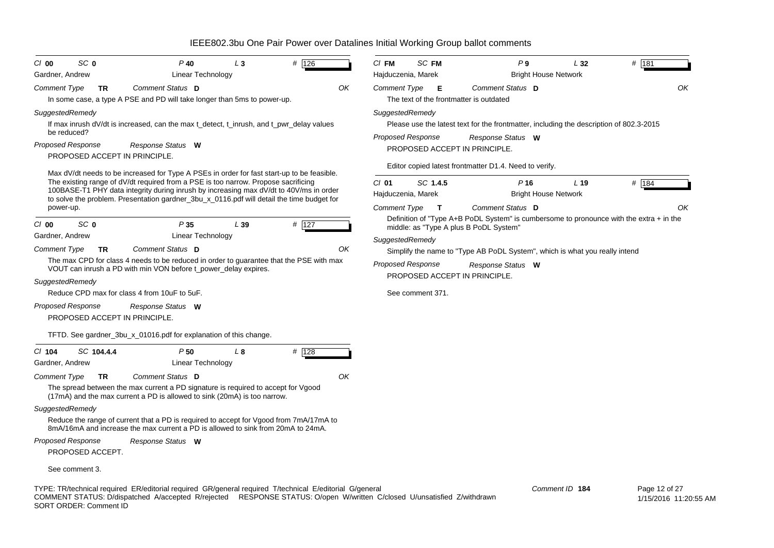| SC <sub>0</sub><br>$Cl$ 00<br>Gardner, Andrew | $P$ 40<br>Linear Technology                                                                                                                                                                                                        | L <sub>3</sub> | # 126   | $CI$ FM<br>Hajduczenia, Marek | SC FM                    | P9                                                                                        | L32<br><b>Bright House Network</b> | # 181                                  |    |
|-----------------------------------------------|------------------------------------------------------------------------------------------------------------------------------------------------------------------------------------------------------------------------------------|----------------|---------|-------------------------------|--------------------------|-------------------------------------------------------------------------------------------|------------------------------------|----------------------------------------|----|
|                                               |                                                                                                                                                                                                                                    |                |         |                               |                          |                                                                                           |                                    |                                        |    |
| Comment Type<br><b>TR</b>                     | Comment Status D<br>In some case, a type A PSE and PD will take longer than 5ms to power-up.                                                                                                                                       |                | ΟK      | Comment Type                  | - E                      | Comment Status D<br>The text of the frontmatter is outdated                               |                                    |                                        | OK |
| SuggestedRemedy                               |                                                                                                                                                                                                                                    |                |         | SuggestedRemedy               |                          |                                                                                           |                                    |                                        |    |
|                                               | If max inrush dV/dt is increased, can the max t_detect, t_inrush, and t_pwr_delay values                                                                                                                                           |                |         |                               |                          | Please use the latest text for the frontmatter, including the description of 802.3-2015   |                                    |                                        |    |
| be reduced?                                   |                                                                                                                                                                                                                                    |                |         |                               | <b>Proposed Response</b> | Response Status W                                                                         |                                    |                                        |    |
| <b>Proposed Response</b>                      | Response Status W                                                                                                                                                                                                                  |                |         |                               |                          | PROPOSED ACCEPT IN PRINCIPLE.                                                             |                                    |                                        |    |
| PROPOSED ACCEPT IN PRINCIPLE.                 |                                                                                                                                                                                                                                    |                |         |                               |                          |                                                                                           |                                    |                                        |    |
|                                               | Max dV/dt needs to be increased for Type A PSEs in order for fast start-up to be feasible.                                                                                                                                         |                |         |                               |                          | Editor copied latest frontmatter D1.4. Need to verify.                                    |                                    |                                        |    |
|                                               | The existing range of dV/dt required from a PSE is too narrow. Propose sacrificing                                                                                                                                                 |                |         | $CI$ 01                       | SC 1.4.5                 | P <sub>16</sub>                                                                           | L <sub>19</sub>                    | $#$ 184                                |    |
|                                               | 100BASE-T1 PHY data integrity during inrush by increasing max dV/dt to 40V/ms in order<br>to solve the problem. Presentation gardner_3bu_x_0116.pdf will detail the time budget for                                                |                |         | Hajduczenia, Marek            |                          |                                                                                           | <b>Bright House Network</b>        |                                        |    |
| power-up.                                     |                                                                                                                                                                                                                                    |                |         | Comment Type                  | $\mathbf{T}$             | Comment Status D                                                                          |                                    |                                        | OK |
| SC <sub>0</sub><br>$Cl$ 00                    | P35                                                                                                                                                                                                                                | L39            | $#$ 127 |                               |                          | Definition of "Type A+B PoDL System" is cumbersome to pronounce with the extra $+$ in the |                                    |                                        |    |
| Gardner, Andrew                               | Linear Technology                                                                                                                                                                                                                  |                |         |                               |                          | middle: as "Type A plus B PoDL System"                                                    |                                    |                                        |    |
| <b>Comment Type</b><br><b>TR</b>              | Comment Status D                                                                                                                                                                                                                   |                | OK      | SuggestedRemedy               |                          |                                                                                           |                                    |                                        |    |
|                                               | The max CPD for class 4 needs to be reduced in order to guarantee that the PSE with max                                                                                                                                            |                |         |                               |                          | Simplify the name to "Type AB PoDL System", which is what you really intend               |                                    |                                        |    |
|                                               | VOUT can inrush a PD with min VON before t_power_delay expires.                                                                                                                                                                    |                |         |                               | <b>Proposed Response</b> | Response Status W                                                                         |                                    |                                        |    |
| SuggestedRemedy                               |                                                                                                                                                                                                                                    |                |         |                               |                          | PROPOSED ACCEPT IN PRINCIPLE.                                                             |                                    |                                        |    |
| Reduce CPD max for class 4 from 10uF to 5uF.  |                                                                                                                                                                                                                                    |                |         |                               | See comment 371.         |                                                                                           |                                    |                                        |    |
| <b>Proposed Response</b>                      | Response Status W                                                                                                                                                                                                                  |                |         |                               |                          |                                                                                           |                                    |                                        |    |
| PROPOSED ACCEPT IN PRINCIPLE.                 |                                                                                                                                                                                                                                    |                |         |                               |                          |                                                                                           |                                    |                                        |    |
|                                               | TFTD. See gardner_3bu_x_01016.pdf for explanation of this change.                                                                                                                                                                  |                |         |                               |                          |                                                                                           |                                    |                                        |    |
| $CI$ 104<br>SC 104.4.4                        | P50                                                                                                                                                                                                                                | L 8            | $#$ 128 |                               |                          |                                                                                           |                                    |                                        |    |
| Gardner, Andrew                               | Linear Technology                                                                                                                                                                                                                  |                |         |                               |                          |                                                                                           |                                    |                                        |    |
| Comment Type<br><b>TR</b>                     | Comment Status D                                                                                                                                                                                                                   |                | OK      |                               |                          |                                                                                           |                                    |                                        |    |
|                                               | The spread between the max current a PD signature is required to accept for Vgood<br>(17mA) and the max current a PD is allowed to sink (20mA) is too narrow.                                                                      |                |         |                               |                          |                                                                                           |                                    |                                        |    |
| SuggestedRemedy                               |                                                                                                                                                                                                                                    |                |         |                               |                          |                                                                                           |                                    |                                        |    |
|                                               | Reduce the range of current that a PD is required to accept for Vgood from 7mA/17mA to<br>8mA/16mA and increase the max current a PD is allowed to sink from 20mA to 24mA.                                                         |                |         |                               |                          |                                                                                           |                                    |                                        |    |
| <b>Proposed Response</b>                      | Response Status W                                                                                                                                                                                                                  |                |         |                               |                          |                                                                                           |                                    |                                        |    |
| PROPOSED ACCEPT.                              |                                                                                                                                                                                                                                    |                |         |                               |                          |                                                                                           |                                    |                                        |    |
| See comment 3.                                |                                                                                                                                                                                                                                    |                |         |                               |                          |                                                                                           |                                    |                                        |    |
| SORT ORDER: Comment ID                        | TYPE: TR/technical required ER/editorial required GR/general required T/technical E/editorial G/general<br>COMMENT STATUS: D/dispatched A/accepted R/rejected RESPONSE STATUS: O/open W/written C/closed U/unsatisfied Z/withdrawn |                |         |                               |                          |                                                                                           | Comment ID 184                     | Page 12 of 27<br>1/15/2016 11:20:55 AM |    |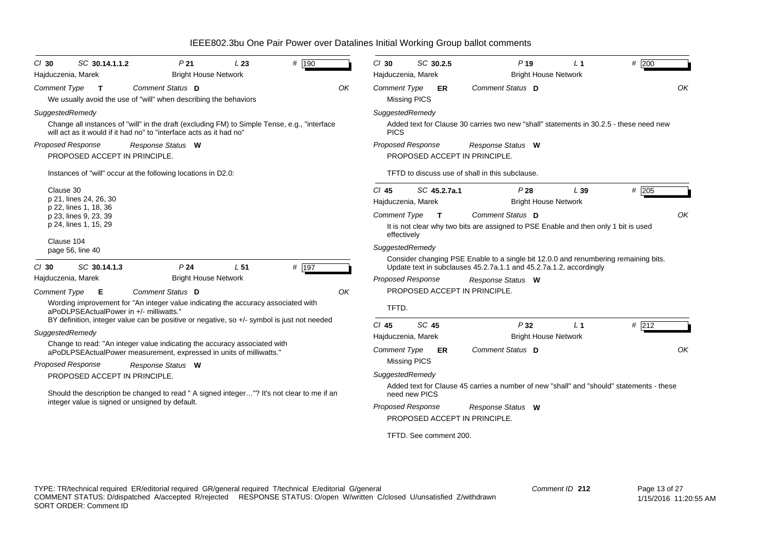| # 190<br>SC 30.14.1.1.2<br>P <sub>21</sub><br>L23<br>$CI$ 30<br><b>Bright House Network</b><br>Hajduczenia, Marek                                                   | # 200<br>$Cl$ 30<br>SC 30.2.5<br>P <sub>19</sub><br>L <sub>1</sub><br>Hajduczenia, Marek<br><b>Bright House Network</b>                                                      |
|---------------------------------------------------------------------------------------------------------------------------------------------------------------------|------------------------------------------------------------------------------------------------------------------------------------------------------------------------------|
| Comment Status D<br><b>Comment Type</b><br>OK<br>$\mathbf{T}$<br>We usually avoid the use of "will" when describing the behaviors                                   | Comment Status D<br>ΟK<br><b>Comment Type</b><br>ER<br><b>Missing PICS</b>                                                                                                   |
| SuggestedRemedy                                                                                                                                                     | SuggestedRemedy                                                                                                                                                              |
| Change all instances of "will" in the draft (excluding FM) to Simple Tense, e.g., "interface<br>will act as it would if it had no" to "interface acts as it had no" | Added text for Clause 30 carries two new "shall" statements in 30.2.5 - these need new<br><b>PICS</b>                                                                        |
| Proposed Response<br>Response Status W<br>PROPOSED ACCEPT IN PRINCIPLE.                                                                                             | <b>Proposed Response</b><br>Response Status W<br>PROPOSED ACCEPT IN PRINCIPLE.                                                                                               |
| Instances of "will" occur at the following locations in D2.0:                                                                                                       | TFTD to discuss use of shall in this subclause.                                                                                                                              |
| Clause 30<br>p 21, lines 24, 26, 30<br>p 22, lines 1, 18, 36                                                                                                        | $#$ 205<br>CI 45<br>SC 45.2.7a.1<br>P28<br>L39<br><b>Bright House Network</b><br>Hajduczenia, Marek                                                                          |
| p 23, lines 9, 23, 39<br>p 24, lines 1, 15, 29                                                                                                                      | Comment Status D<br>OK<br><b>Comment Type</b><br>$\mathbf{T}$<br>It is not clear why two bits are assigned to PSE Enable and then only 1 bit is used<br>effectively          |
| Clause 104<br>page 56, line 40<br># 197<br>SC 30.14.1.3<br>P <sub>24</sub><br>L <sub>51</sub><br>$Cl$ 30                                                            | SuggestedRemedy<br>Consider changing PSE Enable to a single bit 12.0.0 and renumbering remaining bits.<br>Update text in subclauses 45.2.7a.1.1 and 45.2.7a.1.2, accordingly |
| <b>Bright House Network</b><br>Hajduczenia, Marek                                                                                                                   | <b>Proposed Response</b><br>Response Status W                                                                                                                                |
| Comment Status D<br>OK<br><b>Comment Type</b><br>E                                                                                                                  | PROPOSED ACCEPT IN PRINCIPLE.                                                                                                                                                |
| Wording improvement for "An integer value indicating the accuracy associated with<br>aPoDLPSEActualPower in +/- milliwatts.'                                        | TFTD.                                                                                                                                                                        |
| BY definition, integer value can be positive or negative, so +/- symbol is just not needed                                                                          | SC 45<br>$Cl$ 45<br>P32<br># 212<br>L <sub>1</sub>                                                                                                                           |
| SuggestedRemedy<br>Change to read: "An integer value indicating the accuracy associated with                                                                        | <b>Bright House Network</b><br>Hajduczenia, Marek                                                                                                                            |
| aPoDLPSEActualPower measurement, expressed in units of milliwatts."                                                                                                 | <b>Comment Type</b><br>Comment Status D<br>OK<br>ER                                                                                                                          |
| <b>Proposed Response</b><br>Response Status W                                                                                                                       | <b>Missing PICS</b>                                                                                                                                                          |
| PROPOSED ACCEPT IN PRINCIPLE.                                                                                                                                       | SuggestedRemedy                                                                                                                                                              |
| Should the description be changed to read " A signed integer"? It's not clear to me if an                                                                           | Added text for Clause 45 carries a number of new "shall" and "should" statements - these<br>need new PICS                                                                    |
| integer value is signed or unsigned by default.                                                                                                                     | <b>Proposed Response</b><br>Response Status W                                                                                                                                |
|                                                                                                                                                                     | PROPOSED ACCEPT IN PRINCIPLE.                                                                                                                                                |
|                                                                                                                                                                     | TFTD. See comment 200.                                                                                                                                                       |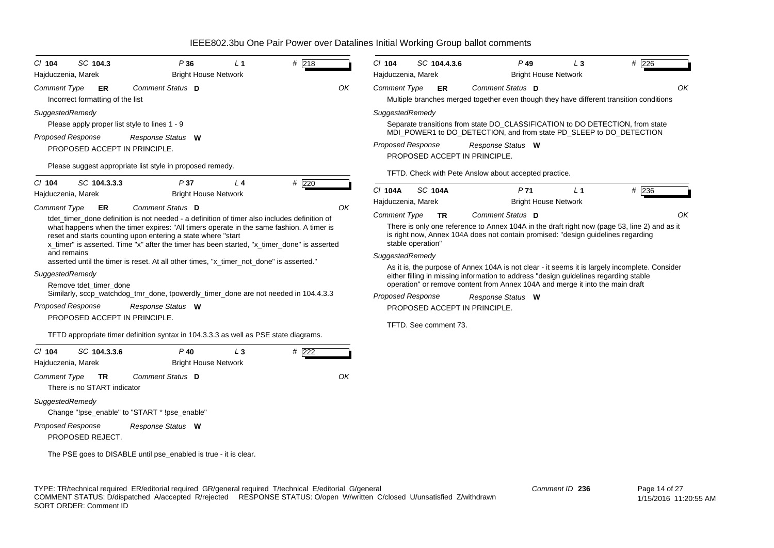| SC 104.3<br>$Cl$ 104                                                                                                                        | P36                                                                                                                                                                                                                                                                                                                                                                                                                                                                                                                                                                                                                                                                        | L <sub>1</sub> | # 218       | $Cl$ 104                                                           | SC 104.4.3.6                                            | $P$ 49                                                                                                                                                                                                                                                                                                                              | $L_3$                                         | $#$ 226                                                                                                                                                                                              |
|---------------------------------------------------------------------------------------------------------------------------------------------|----------------------------------------------------------------------------------------------------------------------------------------------------------------------------------------------------------------------------------------------------------------------------------------------------------------------------------------------------------------------------------------------------------------------------------------------------------------------------------------------------------------------------------------------------------------------------------------------------------------------------------------------------------------------------|----------------|-------------|--------------------------------------------------------------------|---------------------------------------------------------|-------------------------------------------------------------------------------------------------------------------------------------------------------------------------------------------------------------------------------------------------------------------------------------------------------------------------------------|-----------------------------------------------|------------------------------------------------------------------------------------------------------------------------------------------------------------------------------------------------------|
| Hajduczenia, Marek                                                                                                                          | <b>Bright House Network</b>                                                                                                                                                                                                                                                                                                                                                                                                                                                                                                                                                                                                                                                |                |             | Hajduczenia, Marek                                                 |                                                         |                                                                                                                                                                                                                                                                                                                                     | <b>Bright House Network</b>                   |                                                                                                                                                                                                      |
| <b>Comment Type</b><br>ER<br>Incorrect formatting of the list                                                                               | Comment Status D                                                                                                                                                                                                                                                                                                                                                                                                                                                                                                                                                                                                                                                           |                | OK          | <b>Comment Type</b>                                                | ER                                                      | Comment Status D                                                                                                                                                                                                                                                                                                                    |                                               | OK<br>Multiple branches merged together even though they have different transition conditions                                                                                                        |
| SuggestedRemedy<br>Please apply proper list style to lines 1 - 9<br>Proposed Response<br>PROPOSED ACCEPT IN PRINCIPLE.                      | Response Status W                                                                                                                                                                                                                                                                                                                                                                                                                                                                                                                                                                                                                                                          |                |             | SuggestedRemedy<br><b>Proposed Response</b>                        |                                                         | MDI_POWER1 to DO_DETECTION, and from state PD_SLEEP to DO_DETECTION<br>Response Status W                                                                                                                                                                                                                                            |                                               | Separate transitions from state DO_CLASSIFICATION to DO DETECTION, from state                                                                                                                        |
|                                                                                                                                             | Please suggest appropriate list style in proposed remedy.                                                                                                                                                                                                                                                                                                                                                                                                                                                                                                                                                                                                                  |                |             |                                                                    |                                                         | PROPOSED ACCEPT IN PRINCIPLE.                                                                                                                                                                                                                                                                                                       |                                               |                                                                                                                                                                                                      |
|                                                                                                                                             |                                                                                                                                                                                                                                                                                                                                                                                                                                                                                                                                                                                                                                                                            |                |             |                                                                    |                                                         | TFTD. Check with Pete Anslow about accepted practice.                                                                                                                                                                                                                                                                               |                                               |                                                                                                                                                                                                      |
| SC 104.3.3.3<br>$CI$ 104<br>Hajduczenia, Marek                                                                                              | P37<br><b>Bright House Network</b>                                                                                                                                                                                                                                                                                                                                                                                                                                                                                                                                                                                                                                         | L <sub>4</sub> | #220        | C/ 104A<br>Hajduczenia, Marek                                      | <b>SC 104A</b>                                          | P <sub>71</sub>                                                                                                                                                                                                                                                                                                                     | L <sub>1</sub><br><b>Bright House Network</b> | # 236                                                                                                                                                                                                |
| <b>Comment Type</b><br>ER<br>and remains<br>SuggestedRemedy<br>Remove tdet timer done<br>Proposed Response<br>PROPOSED ACCEPT IN PRINCIPLE. | Comment Status D<br>tdet timer done definition is not needed - a definition of timer also includes definition of<br>what happens when the timer expires: "All timers operate in the same fashion. A timer is<br>reset and starts counting upon entering a state where "start<br>x_timer" is asserted. Time "x" after the timer has been started, "x_timer_done" is asserted<br>asserted until the timer is reset. At all other times, "x_timer_not_done" is asserted."<br>Similarly, sccp_watchdog_tmr_done, tpowerdly_timer_done are not needed in 104.4.3.3<br>Response Status W<br>TFTD appropriate timer definition syntax in 104.3.3.3 as well as PSE state diagrams. |                | OK          | <b>Comment Type</b><br>SuggestedRemedy<br><b>Proposed Response</b> | <b>TR</b><br>stable operation"<br>TFTD. See comment 73. | Comment Status D<br>is right now, Annex 104A does not contain promised: "design guidelines regarding<br>either filling in missing information to address "design guidelines regarding stable<br>operation" or remove content from Annex 104A and merge it into the main draft<br>Response Status W<br>PROPOSED ACCEPT IN PRINCIPLE. |                                               | OK<br>There is only one reference to Annex 104A in the draft right now (page 53, line 2) and as it<br>As it is, the purpose of Annex 104A is not clear - it seems it is largely incomplete. Consider |
| SC 104.3.3.6<br>$CI$ 104<br>Hajduczenia, Marek<br><b>Comment Type</b><br><b>TR</b>                                                          | $P$ 40<br><b>Bright House Network</b><br>Comment Status D                                                                                                                                                                                                                                                                                                                                                                                                                                                                                                                                                                                                                  | $L_3$          | # 222<br>ΟK |                                                                    |                                                         |                                                                                                                                                                                                                                                                                                                                     |                                               |                                                                                                                                                                                                      |
| There is no START indicator                                                                                                                 |                                                                                                                                                                                                                                                                                                                                                                                                                                                                                                                                                                                                                                                                            |                |             |                                                                    |                                                         |                                                                                                                                                                                                                                                                                                                                     |                                               |                                                                                                                                                                                                      |
| SuggestedRemedy<br>Change "!pse_enable" to "START * !pse_enable"<br><b>Proposed Response</b><br>PROPOSED REJECT.                            | Response Status W                                                                                                                                                                                                                                                                                                                                                                                                                                                                                                                                                                                                                                                          |                |             |                                                                    |                                                         |                                                                                                                                                                                                                                                                                                                                     |                                               |                                                                                                                                                                                                      |
|                                                                                                                                             | The PSE goes to DISABLE until pse_enabled is true - it is clear.                                                                                                                                                                                                                                                                                                                                                                                                                                                                                                                                                                                                           |                |             |                                                                    |                                                         |                                                                                                                                                                                                                                                                                                                                     |                                               |                                                                                                                                                                                                      |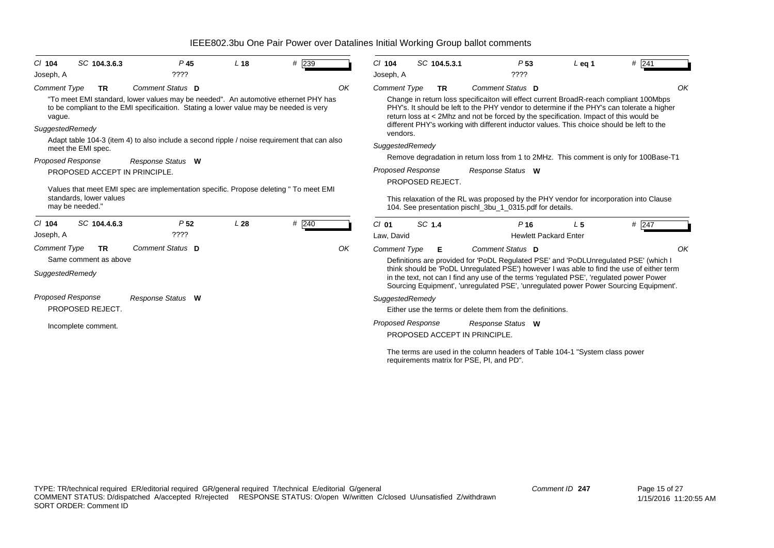| $Cl$ 104<br>Joseph, A                            | SC 104.3.6.3                                             | $P$ 45<br>$??\,?\,?$                                                                                                                                                                             | L <sub>18</sub> | # 239 | $Cl$ 104<br>Joseph, A                 | SC 104.5.3.1                                 | P <sub>53</sub><br>????                                                                                                                                                                                                                                                                                                                                                                        | $L$ eq 1       | # 241 |
|--------------------------------------------------|----------------------------------------------------------|--------------------------------------------------------------------------------------------------------------------------------------------------------------------------------------------------|-----------------|-------|---------------------------------------|----------------------------------------------|------------------------------------------------------------------------------------------------------------------------------------------------------------------------------------------------------------------------------------------------------------------------------------------------------------------------------------------------------------------------------------------------|----------------|-------|
| <b>Comment Type</b><br>vague.<br>SuggestedRemedy | <b>TR</b>                                                | Comment Status D<br>"To meet EMI standard, lower values may be needed". An automotive ethernet PHY has<br>to be compliant to the EMI specificaition. Stating a lower value may be needed is very |                 |       | <b>Comment Type</b><br>OK<br>vendors. | <b>TR</b>                                    | Comment Status D<br>Change in return loss specificaiton will effect current BroadR-reach compliant 100Mbps<br>PHY's. It should be left to the PHY vendor to determine if the PHY's can tolerate a higher<br>return loss at < 2Mhz and not be forced by the specification. Impact of this would be<br>different PHY's working with different inductor values. This choice should be left to the |                |       |
| <b>Proposed Response</b>                         | meet the EMI spec.                                       | Adapt table 104-3 (item 4) to also include a second ripple / noise requirement that can also<br>Response Status W                                                                                |                 |       | SuggestedRemedy                       |                                              | Remove degradation in return loss from 1 to 2MHz. This comment is only for 100Base-T1                                                                                                                                                                                                                                                                                                          |                |       |
| may be needed."                                  | PROPOSED ACCEPT IN PRINCIPLE.<br>standards, lower values | Values that meet EMI spec are implementation specific. Propose deleting " To meet EMI                                                                                                            |                 |       |                                       | <b>Proposed Response</b><br>PROPOSED REJECT. | Response Status W<br>This relaxation of the RL was proposed by the PHY vendor for incorporation into Clause<br>104. See presentation pischl_3bu_1_0315.pdf for details.                                                                                                                                                                                                                        |                |       |
| $Cl$ 104                                         | SC 104.4.6.3                                             | P <sub>52</sub>                                                                                                                                                                                  | L28             | # 240 | $Cl$ 01                               | SC 1.4                                       | P <sub>16</sub>                                                                                                                                                                                                                                                                                                                                                                                | L <sub>5</sub> | # 247 |
| Joseph, A                                        |                                                          | $??\,?\,?$                                                                                                                                                                                       |                 |       | Law, David                            |                                              | <b>Hewlett Packard Enter</b>                                                                                                                                                                                                                                                                                                                                                                   |                |       |
| <b>Comment Type</b>                              | <b>TR</b>                                                | Comment Status D                                                                                                                                                                                 |                 |       | OK<br><b>Comment Type</b>             | Е                                            | Comment Status D                                                                                                                                                                                                                                                                                                                                                                               |                |       |
| SuggestedRemedy                                  | Same comment as above                                    |                                                                                                                                                                                                  |                 |       |                                       |                                              | Definitions are provided for 'PoDL Regulated PSE' and 'PoDLUnregulated PSE' (which I<br>think should be 'PoDL Unregulated PSE') however I was able to find the use of either term<br>in the text, not can I find any use of the terms 'regulated PSE', 'regulated power Power<br>Sourcing Equipment', 'unregulated PSE', 'unregulated power Power Sourcing Equipment'.                         |                |       |
| <b>Proposed Response</b>                         | PROPOSED REJECT.                                         | Response Status W                                                                                                                                                                                |                 |       | SuggestedRemedy                       |                                              | Either use the terms or delete them from the definitions.                                                                                                                                                                                                                                                                                                                                      |                |       |
|                                                  | Incomplete comment.                                      |                                                                                                                                                                                                  |                 |       |                                       | <b>Proposed Response</b>                     | Response Status W<br>PROPOSED ACCEPT IN PRINCIPLE.                                                                                                                                                                                                                                                                                                                                             |                |       |

The terms are used in the column headers of Table 104-1 "System class power requirements matrix for PSE, PI, and PD".

*Comment ID* **247**

*OK*

*OK*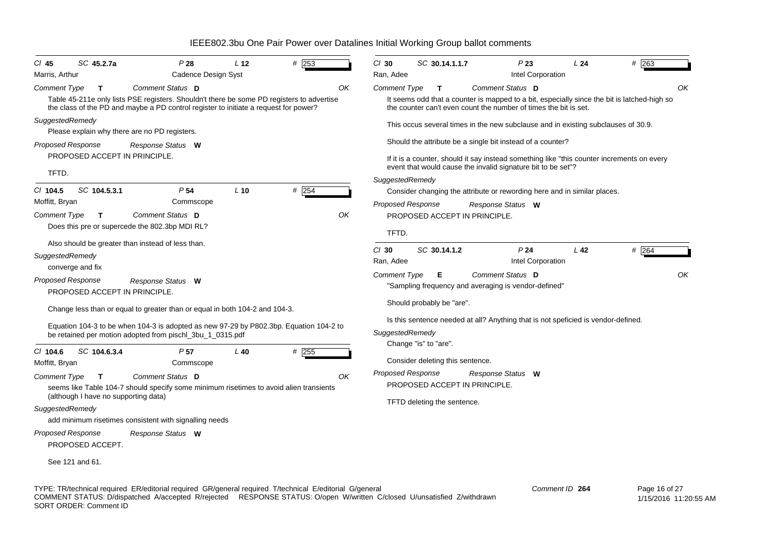| SC 45.2.7a<br>CI 45<br>Marris, Arthur                                                                                                                            | P28<br>Cadence Design Syst                                                                                                                                                                                                         | L <sub>12</sub> | # 253         | $Cl$ 30<br>SC 30.14.1.1.7<br>Ran, Adee                                                                                                         | P23<br>Intel Corporation                                                                                                                                   | L24             | # 263                                                                                             |
|------------------------------------------------------------------------------------------------------------------------------------------------------------------|------------------------------------------------------------------------------------------------------------------------------------------------------------------------------------------------------------------------------------|-----------------|---------------|------------------------------------------------------------------------------------------------------------------------------------------------|------------------------------------------------------------------------------------------------------------------------------------------------------------|-----------------|---------------------------------------------------------------------------------------------------|
| <b>Comment Type</b><br>T                                                                                                                                         | Comment Status D<br>Table 45-211e only lists PSE registers. Shouldn't there be some PD registers to advertise<br>the class of the PD and maybe a PD control register to initiate a request for power?                              |                 | OK            | Comment Type<br>T                                                                                                                              | Comment Status D<br>the counter can't even count the number of times the bit is set.                                                                       |                 | OK<br>It seems odd that a counter is mapped to a bit, especially since the bit is latched-high so |
| SuggestedRemedy<br>Please explain why there are no PD registers.<br><b>Proposed Response</b>                                                                     | Response Status W                                                                                                                                                                                                                  |                 |               |                                                                                                                                                | This occus several times in the new subclause and in existing subclauses of 30.9.<br>Should the attribute be a single bit instead of a counter?            |                 |                                                                                                   |
| PROPOSED ACCEPT IN PRINCIPLE.<br>TFTD.                                                                                                                           |                                                                                                                                                                                                                                    |                 |               | SuggestedRemedy                                                                                                                                | If it is a counter, should it say instead something like "this counter increments on every<br>event that would cause the invalid signature bit to be set"? |                 |                                                                                                   |
| $CI$ 104.5<br>SC 104.5.3.1<br>Moffitt, Bryan<br><b>Comment Type</b><br>T.                                                                                        | P <sub>54</sub><br>Commscope<br>Comment Status D<br>Does this pre or supercede the 802.3bp MDI RL?                                                                                                                                 | $L$ 10          | # $254$<br>OK | Proposed Response<br>PROPOSED ACCEPT IN PRINCIPLE.<br>TFTD.                                                                                    | Consider changing the attribute or rewording here and in similar places.<br>Response Status W                                                              |                 |                                                                                                   |
| SuggestedRemedy<br>converge and fix<br><b>Proposed Response</b>                                                                                                  | Also should be greater than instead of less than.<br>Response Status W                                                                                                                                                             |                 |               | $Cl$ 30<br>SC 30.14.1.2<br>Ran, Adee<br><b>Comment Type</b><br>Е                                                                               | P <sub>24</sub><br>Intel Corporation<br>Comment Status D<br>"Sampling frequency and averaging is vendor-defined"                                           | L <sub>42</sub> | # 264<br>OK                                                                                       |
| <b>PROPOSED ACCEPT IN PRINCIPLE.</b>                                                                                                                             | Change less than or equal to greater than or equal in both 104-2 and 104-3.<br>Equation 104-3 to be when 104-3 is adopted as new 97-29 by P802.3bp. Equation 104-2 to<br>be retained per motion adopted from pischl_3bu_1_0315.pdf |                 |               | Should probably be "are".<br>SuggestedRemedy                                                                                                   | Is this sentence needed at all? Anything that is not speficied is vendor-defined.                                                                          |                 |                                                                                                   |
| $CI$ 104.6<br>SC 104.6.3.4<br>Moffitt, Bryan<br><b>Comment Type</b><br>T.<br>(although I have no supporting data)<br>SuggestedRemedy<br><b>Proposed Response</b> | P <sub>57</sub><br>Commscope<br>Comment Status D<br>seems like Table 104-7 should specify some minimum risetimes to avoid alien transients<br>add minimum risetimes consistent with signalling needs<br>Response Status W          | $L$ 40          | # 255<br>OK   | Change "is" to "are".<br>Consider deleting this sentence.<br>Proposed Response<br>PROPOSED ACCEPT IN PRINCIPLE.<br>TFTD deleting the sentence. | Response Status W                                                                                                                                          |                 |                                                                                                   |
| PROPOSED ACCEPT.<br>See 121 and 61.                                                                                                                              |                                                                                                                                                                                                                                    |                 |               |                                                                                                                                                |                                                                                                                                                            |                 |                                                                                                   |

TYPE: TR/technical required ER/editorial required GR/general required T/technical E/editorial G/general COMMENT STATUS: D/dispatched A/accepted R/rejected RESPONSE STATUS: O/open W/written C/closed U/unsatisfied Z/withdrawn SORT ORDER: Comment ID *Comment ID* **264**

 Page 16 of 27 1/15/2016 11:20:55 AM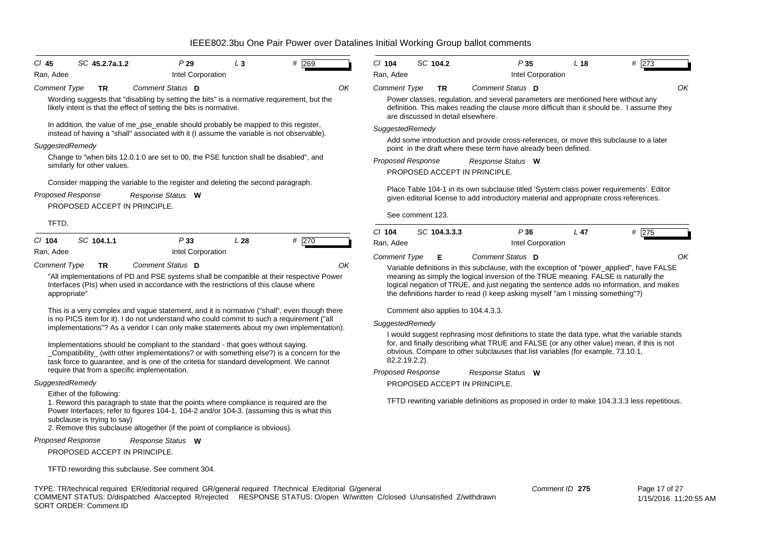| $CI$ 45                  | SC 45.2.7a.1.2                                                                                                                                                                                                                                                                                                           | P29               | $L_3$           | 269<br># | $Cl$ 104                                     |
|--------------------------|--------------------------------------------------------------------------------------------------------------------------------------------------------------------------------------------------------------------------------------------------------------------------------------------------------------------------|-------------------|-----------------|----------|----------------------------------------------|
| Ran, Adee                |                                                                                                                                                                                                                                                                                                                          | Intel Corporation |                 |          | Ran, Adee                                    |
| Comment Type             | <b>TR</b>                                                                                                                                                                                                                                                                                                                | Comment Status D  |                 |          | OK<br>Comment <sub>7</sub>                   |
|                          | Wording suggests that "disabling by setting the bits" is a normative requirement, but the<br>likely intent is that the effect of setting the bits is normative.                                                                                                                                                          |                   |                 |          | Power<br>definitio<br>are dise               |
|                          | In addition, the value of me_pse_enable should probably be mapped to this register,<br>instead of having a "shall" associated with it (I assume the variable is not observable).                                                                                                                                         |                   |                 |          | Suggestedl                                   |
| SuggestedRemedy          |                                                                                                                                                                                                                                                                                                                          |                   |                 |          | Add so<br>point in                           |
|                          | Change to "when bits 12.0.1:0 are set to 00, the PSE function shall be disabled", and<br>similarly for other values.                                                                                                                                                                                                     |                   |                 |          | Proposed F                                   |
|                          |                                                                                                                                                                                                                                                                                                                          |                   |                 |          | <b>PROPO</b>                                 |
|                          | Consider mapping the variable to the register and deleting the second paragraph.                                                                                                                                                                                                                                         |                   |                 |          | Place T                                      |
| <b>Proposed Response</b> |                                                                                                                                                                                                                                                                                                                          | Response Status W |                 |          | given e                                      |
|                          | PROPOSED ACCEPT IN PRINCIPLE.                                                                                                                                                                                                                                                                                            |                   |                 |          | See co                                       |
| TFTD.                    |                                                                                                                                                                                                                                                                                                                          |                   |                 |          |                                              |
| $Cl$ 104                 | SC 104.1.1                                                                                                                                                                                                                                                                                                               | P33               | L <sub>28</sub> | # 270    | $Cl$ 104<br>Ran, Adee                        |
| Ran, Adee                |                                                                                                                                                                                                                                                                                                                          | Intel Corporation |                 |          | Comment 7                                    |
| <b>Comment Type</b>      | <b>TR</b>                                                                                                                                                                                                                                                                                                                | Comment Status D  |                 |          | OK<br>Variabl                                |
| appropriate"             | "All implementations of PD and PSE systems shall be compatible at their respective Power<br>Interfaces (PIs) when used in accordance with the restrictions of this clause where                                                                                                                                          |                   |                 |          | meanin<br>logical<br>the defi                |
|                          | This is a very complex and vague statement, and it is normative ("shall", even though there                                                                                                                                                                                                                              |                   |                 |          | Comme                                        |
|                          | is no PICS item for it). I do not understand who could commit to such a requirement ("all<br>implementations"? As a vendor I can only make statements about my own implementation).                                                                                                                                      |                   |                 |          | Suggestedl<br>I would                        |
|                          | Implementations should be compliant to the standard - that goes without saying.<br>_Compatibility_ (with other implementations? or with something else?) is a concern for the<br>task force to guarantee, and is one of the critetia for standard development. We cannot<br>require that from a specific implementation. |                   |                 |          | for, and<br>obvious<br>82.2.19<br>Proposed F |
| SuggestedRemedy          |                                                                                                                                                                                                                                                                                                                          |                   |                 |          | <b>PROPO</b>                                 |
|                          | $\Gamma$ ith an af tha fallawing.                                                                                                                                                                                                                                                                                        |                   |                 |          |                                              |

Either of the following: 1. Reword this paragraph to state that the points where compliance is required are the Power Interfaces; refer to figures 104-1, 104-2 and/or 104-3. (assuming this is what this subclause is trying to say)

2. Remove this subclause altogether (if the point of compliance is obvious).

#### *Proposed Response Response Status* **W**

PROPOSED ACCEPT IN PRINCIPLE.

TFTD rewording this subclause. See comment 304.

| $Cl$ 104            | SC 104.2     |                                    | P35                                                            | L <sub>18</sub>                                                                                                                                                        | # 273                                                                                                                                                                                     |
|---------------------|--------------|------------------------------------|----------------------------------------------------------------|------------------------------------------------------------------------------------------------------------------------------------------------------------------------|-------------------------------------------------------------------------------------------------------------------------------------------------------------------------------------------|
| Ran, Adee           |              |                                    | Intel Corporation                                              |                                                                                                                                                                        |                                                                                                                                                                                           |
| <b>Comment Type</b> | TR           |                                    | Comment Status D                                               |                                                                                                                                                                        | ΟK                                                                                                                                                                                        |
|                     |              | are discussed in detail elsewhere. |                                                                | Power classes, regulation, and several parameters are mentioned here without any                                                                                       | definition. This makes reading the clause more difficult than it should be. I assume they                                                                                                 |
| SuggestedRemedy     |              |                                    |                                                                |                                                                                                                                                                        |                                                                                                                                                                                           |
|                     |              |                                    | point in the draft where these term have already been defined. |                                                                                                                                                                        | Add some introduction and provide cross-references, or move this subclause to a later                                                                                                     |
| Proposed Response   |              |                                    | Response Status W                                              |                                                                                                                                                                        |                                                                                                                                                                                           |
|                     |              | PROPOSED ACCEPT IN PRINCIPLE.      |                                                                |                                                                                                                                                                        |                                                                                                                                                                                           |
| $Cl$ 104            | SC 104.3.3.3 |                                    | P36                                                            | $L$ 47                                                                                                                                                                 | #<br>275                                                                                                                                                                                  |
| Ran, Adee           |              |                                    | Intel Corporation                                              |                                                                                                                                                                        |                                                                                                                                                                                           |
| <b>Comment Type</b> | Е            |                                    | Comment Status D                                               |                                                                                                                                                                        | ΟK                                                                                                                                                                                        |
|                     |              |                                    |                                                                | meaning as simply the logical inversion of the TRUE meaning. FALSE is naturally the<br>the definitions harder to read (I keep asking myself "am I missing something"?) | Variable definitions in this subclause, with the exception of "power_applied", have FALSE<br>logical negation of TRUE, and just negating the sentence adds no information, and makes      |
|                     |              | Comment also applies to 104.4.3.3. |                                                                |                                                                                                                                                                        |                                                                                                                                                                                           |
| SuggestedRemedy     |              |                                    |                                                                |                                                                                                                                                                        |                                                                                                                                                                                           |
|                     |              |                                    |                                                                |                                                                                                                                                                        |                                                                                                                                                                                           |
| 82.2.19.2.2).       |              |                                    |                                                                | obvious. Compare to other subclauses that list variables (for example, 73.10.1,                                                                                        | I would suggest rephrasing most definitions to state the data type, what the variable stands<br>for, and finally describing what TRUE and FALSE (or any other value) mean, if this is not |

*Proposed Response* PROPOSED ACCEPT IN PRINCIPLE. *Response Status* **W**

TFTD rewriting variable definitions as proposed in order to make 104.3.3.3 less repetitious.

TYPE: TR/technical required ER/editorial required GR/general required T/technical E/editorial G/general COMMENT STATUS: D/dispatched A/accepted R/rejected RESPONSE STATUS: O/open W/written C/closed U/unsatisfied Z/withdrawn SORT ORDER: Comment ID

*Comment ID* **275**

 Page 17 of 27 1/15/2016 11:20:55 AM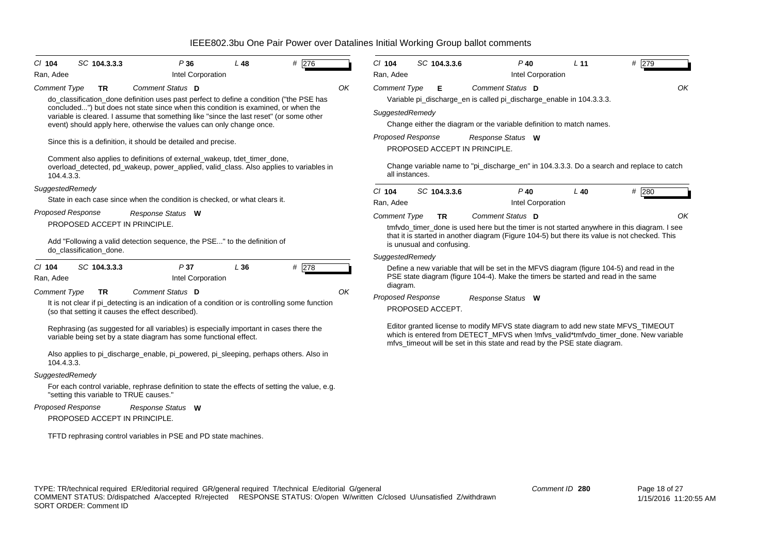| $Cl$ 104                 | SC 104.3.3.3                            | P36                                                                                                                                                                          | L48 | # 276 |    | $Cl$ 104                 |                | SC 104.3.3.6              | $P$ 40                                                                            | L <sub>11</sub>   | # 279                                                                                                                                                                   |
|--------------------------|-----------------------------------------|------------------------------------------------------------------------------------------------------------------------------------------------------------------------------|-----|-------|----|--------------------------|----------------|---------------------------|-----------------------------------------------------------------------------------|-------------------|-------------------------------------------------------------------------------------------------------------------------------------------------------------------------|
| Ran, Adee                |                                         | Intel Corporation                                                                                                                                                            |     |       |    | Ran, Adee                |                |                           |                                                                                   | Intel Corporation |                                                                                                                                                                         |
| Comment Type             | <b>TR</b>                               | Comment Status D                                                                                                                                                             |     |       | OK | <b>Comment Type</b>      |                | Е                         | Comment Status D                                                                  |                   | OK                                                                                                                                                                      |
|                          |                                         | do_classification_done definition uses past perfect to define a condition ("the PSE has                                                                                      |     |       |    |                          |                |                           | Variable pi_discharge_en is called pi_discharge_enable in 104.3.3.3.              |                   |                                                                                                                                                                         |
|                          |                                         | concluded") but does not state since when this condition is examined, or when the<br>variable is cleared. I assume that something like "since the last reset" (or some other |     |       |    | SuggestedRemedy          |                |                           |                                                                                   |                   |                                                                                                                                                                         |
|                          |                                         | event) should apply here, otherwise the values can only change once.                                                                                                         |     |       |    |                          |                |                           | Change either the diagram or the variable definition to match names.              |                   |                                                                                                                                                                         |
|                          |                                         |                                                                                                                                                                              |     |       |    | <b>Proposed Response</b> |                |                           | Response Status W                                                                 |                   |                                                                                                                                                                         |
|                          |                                         | Since this is a definition, it should be detailed and precise.                                                                                                               |     |       |    |                          |                |                           | PROPOSED ACCEPT IN PRINCIPLE.                                                     |                   |                                                                                                                                                                         |
| 104.4.3.3.               |                                         | Comment also applies to definitions of external_wakeup, tdet_timer_done,<br>overload detected, pd wakeup, power applied, valid class. Also applies to variables in           |     |       |    |                          | all instances. |                           |                                                                                   |                   | Change variable name to "pi_discharge_en" in 104.3.3.3. Do a search and replace to catch                                                                                |
| SuggestedRemedy          |                                         |                                                                                                                                                                              |     |       |    | C/ 104                   |                | SC 104.3.3.6              | $P$ 40                                                                            | $L$ 40            | # 280                                                                                                                                                                   |
|                          |                                         | State in each case since when the condition is checked, or what clears it.                                                                                                   |     |       |    | Ran, Adee                |                |                           |                                                                                   | Intel Corporation |                                                                                                                                                                         |
| <b>Proposed Response</b> |                                         | Response Status W                                                                                                                                                            |     |       |    | <b>Comment Type</b>      |                | TR                        | <b>Comment Status D</b>                                                           |                   | OK                                                                                                                                                                      |
|                          | PROPOSED ACCEPT IN PRINCIPLE.           |                                                                                                                                                                              |     |       |    |                          |                |                           |                                                                                   |                   | tmfvdo_timer_done is used here but the timer is not started anywhere in this diagram. I see                                                                             |
|                          | do classification done.                 | Add "Following a valid detection sequence, the PSE" to the definition of                                                                                                     |     |       |    |                          |                | is unusual and confusing. |                                                                                   |                   | that it is started in another diagram (Figure 104-5) but there its value is not checked. This                                                                           |
|                          |                                         |                                                                                                                                                                              |     |       |    | SuggestedRemedy          |                |                           |                                                                                   |                   |                                                                                                                                                                         |
| $CI$ 104<br>Ran, Adee    | SC 104.3.3.3                            | P37<br>Intel Corporation                                                                                                                                                     | L36 | # 278 |    | diagram.                 |                |                           | PSE state diagram (figure 104-4). Make the timers be started and read in the same |                   | Define a new variable that will be set in the MFVS diagram (figure 104-5) and read in the                                                                               |
| <b>Comment Type</b>      | <b>TR</b>                               | Comment Status D                                                                                                                                                             |     |       | OK | <b>Proposed Response</b> |                |                           | Response Status W                                                                 |                   |                                                                                                                                                                         |
|                          |                                         | It is not clear if pi_detecting is an indication of a condition or is controlling some function<br>(so that setting it causes the effect described).                         |     |       |    |                          |                | PROPOSED ACCEPT.          |                                                                                   |                   |                                                                                                                                                                         |
|                          |                                         | Rephrasing (as suggested for all variables) is especially important in cases there the<br>variable being set by a state diagram has some functional effect.                  |     |       |    |                          |                |                           | mfvs_timeout will be set in this state and read by the PSE state diagram.         |                   | Editor granted license to modify MFVS state diagram to add new state MFVS_TIMEOUT<br>which is entered from DETECT MFVS when Imfvs valid*tmfvdo timer done. New variable |
| 104.4.3.3.               |                                         | Also applies to pi_discharge_enable, pi_powered, pi_sleeping, perhaps others. Also in                                                                                        |     |       |    |                          |                |                           |                                                                                   |                   |                                                                                                                                                                         |
| SuggestedRemedy          |                                         |                                                                                                                                                                              |     |       |    |                          |                |                           |                                                                                   |                   |                                                                                                                                                                         |
|                          | "setting this variable to TRUE causes." | For each control variable, rephrase definition to state the effects of setting the value, e.g.                                                                               |     |       |    |                          |                |                           |                                                                                   |                   |                                                                                                                                                                         |
| <b>Proposed Response</b> |                                         | Response Status W                                                                                                                                                            |     |       |    |                          |                |                           |                                                                                   |                   |                                                                                                                                                                         |
|                          | PROPOSED ACCEPT IN PRINCIPLE.           |                                                                                                                                                                              |     |       |    |                          |                |                           |                                                                                   |                   |                                                                                                                                                                         |
|                          |                                         | TFTD rephrasing control variables in PSE and PD state machines.                                                                                                              |     |       |    |                          |                |                           |                                                                                   |                   |                                                                                                                                                                         |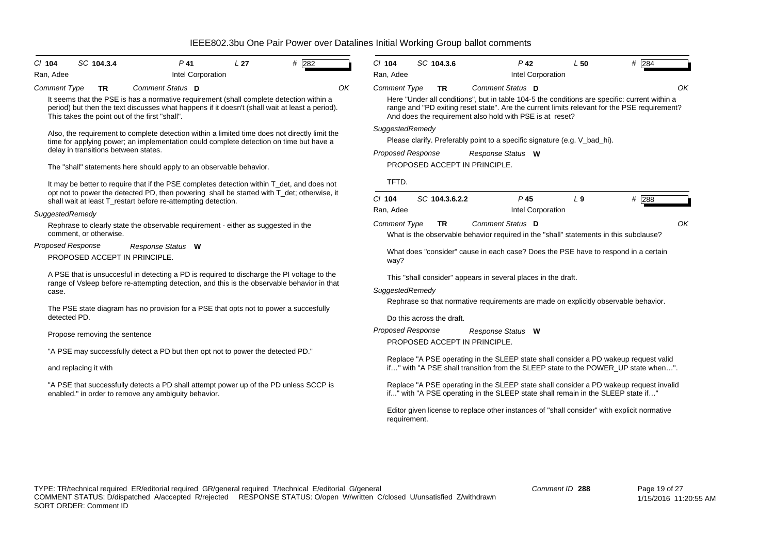| $CI$ 104                 | SC 104.3.4                                                                                                                                                                                | $P$ 41                                                        | L27                                                                                                                                                                                                                                                            | # 282 |    | $Cl$ 104                                                                                                                                                                |  | SC 104.3.6                |                                                          | $P$ 42            | L50                                                                       | $#$ 284                                                                                                                                                                                       |
|--------------------------|-------------------------------------------------------------------------------------------------------------------------------------------------------------------------------------------|---------------------------------------------------------------|----------------------------------------------------------------------------------------------------------------------------------------------------------------------------------------------------------------------------------------------------------------|-------|----|-------------------------------------------------------------------------------------------------------------------------------------------------------------------------|--|---------------------------|----------------------------------------------------------|-------------------|---------------------------------------------------------------------------|-----------------------------------------------------------------------------------------------------------------------------------------------------------------------------------------------|
| Ran, Adee                |                                                                                                                                                                                           |                                                               | Intel Corporation                                                                                                                                                                                                                                              |       |    | Ran, Adee                                                                                                                                                               |  |                           |                                                          | Intel Corporation |                                                                           |                                                                                                                                                                                               |
| <b>Comment Type</b>      | TR                                                                                                                                                                                        | Comment Status D                                              |                                                                                                                                                                                                                                                                |       | OΚ | Comment Type                                                                                                                                                            |  | TR                        | Comment Status D                                         |                   |                                                                           | OK                                                                                                                                                                                            |
|                          |                                                                                                                                                                                           | This takes the point out of the first "shall".                | It seems that the PSE is has a normative requirement (shall complete detection within a<br>period) but then the text discusses what happens if it doesn't (shall wait at least a period).                                                                      |       |    |                                                                                                                                                                         |  |                           | And does the requirement also hold with PSE is at reset? |                   |                                                                           | Here "Under all conditions", but in table 104-5 the conditions are specific: current within a<br>range and "PD exiting reset state". Are the current limits relevant for the PSE requirement? |
|                          | delay in transitions between states.                                                                                                                                                      |                                                               | Also, the requirement to complete detection within a limited time does not directly limit the<br>time for applying power; an implementation could complete detection on time but have a<br>The "shall" statements here should apply to an observable behavior. |       |    | SuggestedRemedy<br><b>Proposed Response</b>                                                                                                                             |  |                           | Response Status W<br>PROPOSED ACCEPT IN PRINCIPLE.       |                   | Please clarify. Preferably point to a specific signature (e.g. V_bad_hi). |                                                                                                                                                                                               |
|                          |                                                                                                                                                                                           | shall wait at least T_restart before re-attempting detection. | It may be better to require that if the PSE completes detection within T det, and does not<br>opt not to power the detected PD, then powering shall be started with T_det; otherwise, it                                                                       |       |    | TFTD.<br>$CI$ 104                                                                                                                                                       |  | SC 104.3.6.2.2            |                                                          | $P$ 45            | $L_{9}$                                                                   | # 288                                                                                                                                                                                         |
| SuggestedRemedy          |                                                                                                                                                                                           |                                                               |                                                                                                                                                                                                                                                                |       |    | Ran, Adee                                                                                                                                                               |  |                           |                                                          | Intel Corporation |                                                                           |                                                                                                                                                                                               |
|                          | comment, or otherwise.                                                                                                                                                                    |                                                               | Rephrase to clearly state the observable requirement - either as suggested in the                                                                                                                                                                              |       |    | Comment Type                                                                                                                                                            |  | TR                        | Comment Status D                                         |                   |                                                                           | OK<br>What is the observable behavior required in the "shall" statements in this subclause?                                                                                                   |
| <b>Proposed Response</b> |                                                                                                                                                                                           | Response Status W                                             |                                                                                                                                                                                                                                                                |       |    |                                                                                                                                                                         |  |                           |                                                          |                   |                                                                           |                                                                                                                                                                                               |
|                          |                                                                                                                                                                                           | PROPOSED ACCEPT IN PRINCIPLE.                                 |                                                                                                                                                                                                                                                                |       |    | way?                                                                                                                                                                    |  |                           |                                                          |                   |                                                                           | What does "consider" cause in each case? Does the PSE have to respond in a certain                                                                                                            |
| case.                    | A PSE that is unsuccesful in detecting a PD is required to discharge the PI voltage to the<br>range of Vsleep before re-attempting detection, and this is the observable behavior in that |                                                               |                                                                                                                                                                                                                                                                |       |    | This "shall consider" appears in several places in the draft.<br>SuggestedRemedy<br>Rephrase so that normative requirements are made on explicitly observable behavior. |  |                           |                                                          |                   |                                                                           |                                                                                                                                                                                               |
| detected PD.             |                                                                                                                                                                                           |                                                               | The PSE state diagram has no provision for a PSE that opts not to power a succesfully                                                                                                                                                                          |       |    |                                                                                                                                                                         |  | Do this across the draft. |                                                          |                   |                                                                           |                                                                                                                                                                                               |
|                          | Propose removing the sentence                                                                                                                                                             |                                                               |                                                                                                                                                                                                                                                                |       |    | <b>Proposed Response</b>                                                                                                                                                |  |                           | Response Status W<br>PROPOSED ACCEPT IN PRINCIPLE.       |                   |                                                                           |                                                                                                                                                                                               |
|                          |                                                                                                                                                                                           |                                                               | "A PSE may successfully detect a PD but then opt not to power the detected PD."                                                                                                                                                                                |       |    |                                                                                                                                                                         |  |                           |                                                          |                   |                                                                           | Replace "A PSE operating in the SLEEP state shall consider a PD wakeup request valid                                                                                                          |
|                          | and replacing it with                                                                                                                                                                     |                                                               |                                                                                                                                                                                                                                                                |       |    |                                                                                                                                                                         |  |                           |                                                          |                   |                                                                           | if" with "A PSE shall transition from the SLEEP state to the POWER_UP state when".                                                                                                            |
|                          |                                                                                                                                                                                           | enabled." in order to remove any ambiguity behavior.          | "A PSE that successfully detects a PD shall attempt power up of the PD unless SCCP is                                                                                                                                                                          |       |    |                                                                                                                                                                         |  |                           |                                                          |                   |                                                                           | Replace "A PSE operating in the SLEEP state shall consider a PD wakeup request invalid<br>if" with "A PSE operating in the SLEEP state shall remain in the SLEEP state if"                    |
|                          |                                                                                                                                                                                           |                                                               |                                                                                                                                                                                                                                                                |       |    | requirement.                                                                                                                                                            |  |                           |                                                          |                   |                                                                           | Editor given license to replace other instances of "shall consider" with explicit normative                                                                                                   |
|                          |                                                                                                                                                                                           |                                                               |                                                                                                                                                                                                                                                                |       |    |                                                                                                                                                                         |  |                           |                                                          |                   |                                                                           |                                                                                                                                                                                               |
|                          |                                                                                                                                                                                           |                                                               | TYPE: TR/technical required ER/editorial required GR/general required T/technical E/editorial G/general                                                                                                                                                        |       |    |                                                                                                                                                                         |  |                           |                                                          |                   | Comment ID 288                                                            | Page 19 of 27                                                                                                                                                                                 |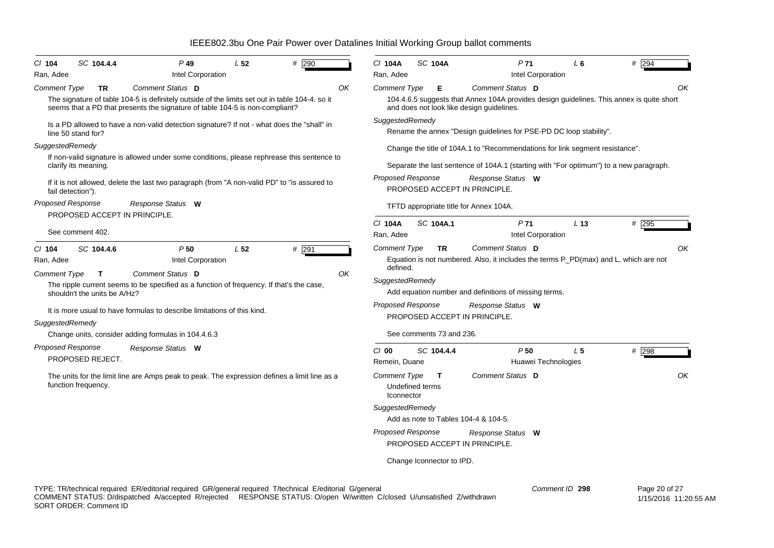| SC 104.4.4<br>$P$ 49<br>$CI$ 104                                                                                                                                                                                                   | $#$ 290<br>L <sub>52</sub>       | # 294<br><b>SC 104A</b><br>P <sub>71</sub><br>C/ 104A<br>L <sub>6</sub>                                                                                        |
|------------------------------------------------------------------------------------------------------------------------------------------------------------------------------------------------------------------------------------|----------------------------------|----------------------------------------------------------------------------------------------------------------------------------------------------------------|
| Intel Corporation<br>Ran, Adee<br>Comment Status D<br><b>Comment Type</b><br><b>TR</b>                                                                                                                                             | ΟK                               | Intel Corporation<br>Ran, Adee<br>Comment Status D<br>ΟK<br><b>Comment Type</b><br>Е                                                                           |
| The signature of table 104-5 is definitely outside of the limits set out in table 104-4. so it<br>seems that a PD that presents the signature of table 104-5 is non-compliant?                                                     |                                  | 104.4.6.5 suggests that Annex 104A provides design guidelines. This annex is quite short<br>and does not look like design guidelines.                          |
| Is a PD allowed to have a non-valid detection signature? If not - what does the "shall" in<br>line 50 stand for?                                                                                                                   |                                  | SuggestedRemedy<br>Rename the annex "Design guidelines for PSE-PD DC loop stability".                                                                          |
| SuggestedRemedy                                                                                                                                                                                                                    |                                  | Change the title of 104A.1 to "Recommendations for link segment resistance".                                                                                   |
| If non-valid signature is allowed under some conditions, please rephrease this sentence to<br>clarify its meaning.                                                                                                                 |                                  | Separate the last sentence of 104A.1 (starting with "For optimum") to a new paragraph.                                                                         |
| If it is not allowed, delete the last two paragraph (from "A non-valid PD" to "is assured to<br>fail detection").                                                                                                                  |                                  | <b>Proposed Response</b><br>Response Status W<br>PROPOSED ACCEPT IN PRINCIPLE.                                                                                 |
| <b>Proposed Response</b><br>Response Status W<br>PROPOSED ACCEPT IN PRINCIPLE.                                                                                                                                                     |                                  | TFTD appropriate title for Annex 104A.                                                                                                                         |
| See comment 402.                                                                                                                                                                                                                   |                                  | C/ 104A<br>SC 104A.1<br>P <sub>71</sub><br>L <sub>13</sub><br># 295<br>Intel Corporation<br>Ran, Adee                                                          |
| P50<br>$CI$ 104<br>SC 104.4.6<br>Intel Corporation<br>Ran, Adee<br>Comment Status D<br><b>Comment Type</b><br>T                                                                                                                    | L <sub>52</sub><br>$#$ 291<br>ΟK | OK<br><b>Comment Type</b><br><b>TR</b><br>Comment Status D<br>Equation is not numbered. Also, it includes the terms P_PD(max) and L, which are not<br>defined. |
| The ripple current seems to be specified as a function of frequency. If that's the case,<br>shouldn't the units be A/Hz?                                                                                                           |                                  | SuggestedRemedy<br>Add equation number and definitions of missing terms.                                                                                       |
| It is more usual to have formulas to describe limitations of this kind.<br>SuggestedRemedy                                                                                                                                         |                                  | Proposed Response<br>Response Status W<br>PROPOSED ACCEPT IN PRINCIPLE.                                                                                        |
| Change units, consider adding formulas in 104.4.6.3                                                                                                                                                                                |                                  | See comments 73 and 236.                                                                                                                                       |
| <b>Proposed Response</b><br>Response Status W<br>PROPOSED REJECT.                                                                                                                                                                  |                                  | P50<br>L <sub>5</sub><br># 298<br>$C/O$ 00<br>SC 104.4.4<br>Remein, Duane<br>Huawei Technologies                                                               |
| The units for the limit line are Amps peak to peak. The expression defines a limit line as a<br>function frequency.                                                                                                                |                                  | OK<br>Comment Status D<br><b>Comment Type</b><br>T<br>Undefined terms<br>Iconnector                                                                            |
|                                                                                                                                                                                                                                    |                                  | SuggestedRemedy<br>Add as note to Tables 104-4 & 104-5.                                                                                                        |
|                                                                                                                                                                                                                                    |                                  | <b>Proposed Response</b><br>Response Status W<br>PROPOSED ACCEPT IN PRINCIPLE.                                                                                 |
|                                                                                                                                                                                                                                    |                                  | Change Iconnector to IPD.                                                                                                                                      |
| TYPE: TR/technical required ER/editorial required GR/general required T/technical E/editorial G/general<br>COMMENT STATUS: D/dispatched A/accepted R/rejected RESPONSE STATUS: O/open W/written C/closed U/unsatisfied Z/withdrawn |                                  | Comment ID 298<br>Page 20 of 27<br>$1/15/2016$ $11.20$                                                                                                         |

COMMENT STATUS: D/dispatched A/accepted R/rejected RESPONSE STATUS: O/open W/written C/closed U/unsatisfied Z/withdrawn SORT ORDER: Comment ID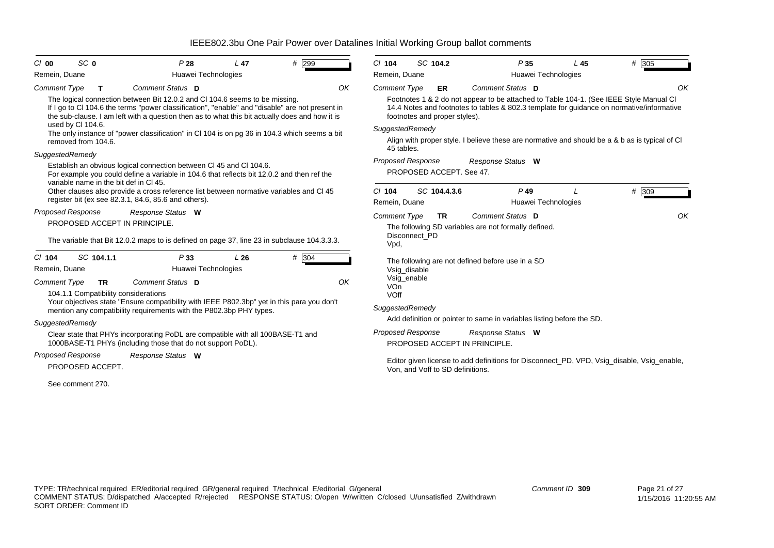| $CI$ 00                  | SC <sub>0</sub>                        | P28                                                                                                                                                                                                                                                                              | L47 | # 299 |    | $Cl$ 104                 | SC 104.2                         |              |                                                      | P35                 | L45                                                                   | # 305                                                                                                                                                                               |
|--------------------------|----------------------------------------|----------------------------------------------------------------------------------------------------------------------------------------------------------------------------------------------------------------------------------------------------------------------------------|-----|-------|----|--------------------------|----------------------------------|--------------|------------------------------------------------------|---------------------|-----------------------------------------------------------------------|-------------------------------------------------------------------------------------------------------------------------------------------------------------------------------------|
| Remein, Duane            |                                        | Huawei Technologies                                                                                                                                                                                                                                                              |     |       |    | Remein, Duane            |                                  |              |                                                      | Huawei Technologies |                                                                       |                                                                                                                                                                                     |
| <b>Comment Type</b>      | $\mathbf{T}$                           | Comment Status D                                                                                                                                                                                                                                                                 |     |       | OK | <b>Comment Type</b>      |                                  | <b>ER</b>    | Comment Status D                                     |                     |                                                                       | OK                                                                                                                                                                                  |
|                          | used by Cl 104.6.                      | The logical connection between Bit 12.0.2 and CI 104.6 seems to be missing.<br>If I go to CI 104.6 the terms "power classification", "enable" and "disable" are not present in<br>the sub-clause. I am left with a question then as to what this bit actually does and how it is |     |       |    | SuggestedRemedy          | footnotes and proper styles).    |              |                                                      |                     |                                                                       | Footnotes 1 & 2 do not appear to be attached to Table 104-1. (See IEEE Style Manual CI<br>14.4 Notes and footnotes to tables & 802.3 template for guidance on normative/informative |
|                          |                                        | The only instance of "power classification" in CI 104 is on pg 36 in 104.3 which seems a bit                                                                                                                                                                                     |     |       |    |                          |                                  |              |                                                      |                     |                                                                       |                                                                                                                                                                                     |
|                          | removed from 104.6.                    |                                                                                                                                                                                                                                                                                  |     |       |    | 45 tables.               |                                  |              |                                                      |                     |                                                                       | Align with proper style. I believe these are normative and should be a & b as is typical of CI                                                                                      |
| SuggestedRemedy          |                                        |                                                                                                                                                                                                                                                                                  |     |       |    | <b>Proposed Response</b> |                                  |              | Response Status W                                    |                     |                                                                       |                                                                                                                                                                                     |
|                          | variable name in the bit def in CI 45. | Establish an obvious logical connection between CI 45 and CI 104.6.<br>For example you could define a variable in 104.6 that reflects bit 12.0.2 and then ref the                                                                                                                |     |       |    |                          | PROPOSED ACCEPT. See 47.         |              |                                                      |                     |                                                                       |                                                                                                                                                                                     |
|                          |                                        | Other clauses also provide a cross reference list between normative variables and CI 45                                                                                                                                                                                          |     |       |    | $Cl$ 104                 |                                  | SC 104.4.3.6 |                                                      | $P$ 49              |                                                                       | # 309                                                                                                                                                                               |
|                          |                                        | register bit (ex see 82.3.1, 84.6, 85.6 and others).                                                                                                                                                                                                                             |     |       |    | Remein, Duane            |                                  |              |                                                      | Huawei Technologies |                                                                       |                                                                                                                                                                                     |
| <b>Proposed Response</b> |                                        | Response Status W                                                                                                                                                                                                                                                                |     |       |    | <b>Comment Type</b>      |                                  | <b>TR</b>    | Comment Status D                                     |                     |                                                                       | OK                                                                                                                                                                                  |
|                          |                                        | PROPOSED ACCEPT IN PRINCIPLE.<br>The variable that Bit 12.0.2 maps to is defined on page 37, line 23 in subclause 104.3.3.3.                                                                                                                                                     |     |       |    | Vpd,                     | Disconnect PD                    |              | The following SD variables are not formally defined. |                     |                                                                       |                                                                                                                                                                                     |
| $CI$ 104                 | SC 104.1.1                             | P33                                                                                                                                                                                                                                                                              | L26 | # 304 |    |                          |                                  |              | The following are not defined before use in a SD     |                     |                                                                       |                                                                                                                                                                                     |
| Remein, Duane            |                                        | Huawei Technologies                                                                                                                                                                                                                                                              |     |       |    |                          | Vsig_disable                     |              |                                                      |                     |                                                                       |                                                                                                                                                                                     |
| Comment Type             | <b>TR</b>                              | Comment Status D                                                                                                                                                                                                                                                                 |     |       | OK |                          | Vsig_enable                      |              |                                                      |                     |                                                                       |                                                                                                                                                                                     |
|                          | 104.1.1 Compatibility considerations   |                                                                                                                                                                                                                                                                                  |     |       |    | <b>VOn</b><br>VOff       |                                  |              |                                                      |                     |                                                                       |                                                                                                                                                                                     |
|                          |                                        | Your objectives state "Ensure compatibility with IEEE P802.3bp" yet in this para you don't                                                                                                                                                                                       |     |       |    | SuggestedRemedy          |                                  |              |                                                      |                     |                                                                       |                                                                                                                                                                                     |
|                          |                                        | mention any compatibility requirements with the P802.3bp PHY types.                                                                                                                                                                                                              |     |       |    |                          |                                  |              |                                                      |                     | Add definition or pointer to same in variables listing before the SD. |                                                                                                                                                                                     |
| SuggestedRemedy          |                                        |                                                                                                                                                                                                                                                                                  |     |       |    |                          |                                  |              |                                                      |                     |                                                                       |                                                                                                                                                                                     |
|                          |                                        | Clear state that PHYs incorporating PoDL are compatible with all 100BASE-T1 and<br>1000BASE-T1 PHYs (including those that do not support PoDL).                                                                                                                                  |     |       |    | <b>Proposed Response</b> |                                  |              | Response Status W<br>PROPOSED ACCEPT IN PRINCIPLE.   |                     |                                                                       |                                                                                                                                                                                     |
| <b>Proposed Response</b> | PROPOSED ACCEPT.                       | Response Status W                                                                                                                                                                                                                                                                |     |       |    |                          | Von, and Voff to SD definitions. |              |                                                      |                     |                                                                       | Editor given license to add definitions for Disconnect_PD, VPD, Vsig_disable, Vsig_enable,                                                                                          |
|                          | See comment 270.                       |                                                                                                                                                                                                                                                                                  |     |       |    |                          |                                  |              |                                                      |                     |                                                                       |                                                                                                                                                                                     |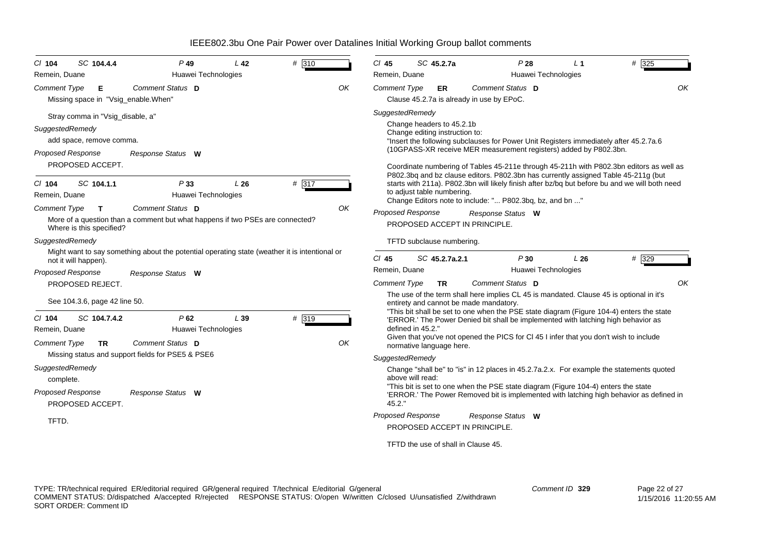| SC 104.4.4<br>CI 104<br>Remein, Duane                                                                                           | $P$ 49<br>Huawei Technologies                                                                     | L42  | # 310 |    | $Cl$ 45<br>Remein, Duane | SC 45.2.7a                                                  |                |                                                               | P28<br>Huawei Technologies | L <sub>1</sub>                                                                     | $# \overline{325}$                                                                                                                                                                   |
|---------------------------------------------------------------------------------------------------------------------------------|---------------------------------------------------------------------------------------------------|------|-------|----|--------------------------|-------------------------------------------------------------|----------------|---------------------------------------------------------------|----------------------------|------------------------------------------------------------------------------------|--------------------------------------------------------------------------------------------------------------------------------------------------------------------------------------|
| Comment Type<br>Е<br>Missing space in "Vsig_enable.When"                                                                        | Comment Status D                                                                                  |      |       | OK | <b>Comment Type</b>      |                                                             | <b>ER</b>      | Comment Status D<br>Clause 45.2.7a is already in use by EPoC. |                            |                                                                                    | OK                                                                                                                                                                                   |
| Stray comma in "Vsig_disable, a"<br>SuggestedRemedy<br>add space, remove comma.<br><b>Proposed Response</b><br>PROPOSED ACCEPT. | Response Status W                                                                                 |      |       |    | SuggestedRemedy          | Change headers to 45.2.1b<br>Change editing instruction to: |                |                                                               |                            | (10GPASS-XR receive MER measurement registers) added by P802.3bn.                  | "Insert the following subclauses for Power Unit Registers immediately after 45.2.7a.6<br>Coordinate numbering of Tables 45-211e through 45-211h with P802.3bn editors as well as     |
| SC 104.1.1<br>$CI$ 104<br>Remein, Duane                                                                                         | P33<br>Huawei Technologies                                                                        | L26  | # 317 |    |                          | to adjust table numbering.                                  |                | Change Editors note to include: " P802.3bq, bz, and bn "      |                            |                                                                                    | P802.3bq and bz clause editors. P802.3bn has currently assigned Table 45-211g (but<br>starts with 211a). P802.3bn will likely finish after bz/bq but before bu and we will both need |
| <b>Comment Type</b><br>$\mathbf{T}$<br>Where is this specified?                                                                 | Comment Status D<br>More of a question than a comment but what happens if two PSEs are connected? |      |       | OK | <b>Proposed Response</b> |                                                             |                | Response Status W<br>PROPOSED ACCEPT IN PRINCIPLE.            |                            |                                                                                    |                                                                                                                                                                                      |
| SuggestedRemedy                                                                                                                 |                                                                                                   |      |       |    |                          | TFTD subclause numbering.                                   |                |                                                               |                            |                                                                                    |                                                                                                                                                                                      |
| not it will happen).                                                                                                            | Might want to say something about the potential operating state (weather it is intentional or     |      |       |    | $CI$ 45                  |                                                             | SC 45.2.7a.2.1 |                                                               | P30                        | L26                                                                                | # 329                                                                                                                                                                                |
| <b>Proposed Response</b>                                                                                                        | Response Status W                                                                                 |      |       |    | Remein, Duane            |                                                             |                |                                                               | Huawei Technologies        |                                                                                    |                                                                                                                                                                                      |
| PROPOSED REJECT.                                                                                                                |                                                                                                   |      |       |    | <b>Comment Type</b>      |                                                             | <b>TR</b>      | Comment Status D                                              |                            |                                                                                    | OK                                                                                                                                                                                   |
| See 104.3.6, page 42 line 50.                                                                                                   |                                                                                                   |      |       |    |                          |                                                             |                | entirety and cannot be made mandatory.                        |                            |                                                                                    | The use of the term shall here implies CL 45 is mandated. Clause 45 is optional in it's<br>"This bit shall be set to one when the PSE state diagram (Figure 104-4) enters the state  |
| $Cl$ 104<br>SC 104.7.4.2                                                                                                        | P62                                                                                               | L 39 | # 319 |    |                          |                                                             |                |                                                               |                            |                                                                                    | 'ERROR.' The Power Denied bit shall be implemented with latching high behavior as                                                                                                    |
| Remein, Duane                                                                                                                   | Huawei Technologies                                                                               |      |       |    |                          | defined in 45.2."                                           |                |                                                               |                            |                                                                                    | Given that you've not opened the PICS for CI 45 I infer that you don't wish to include                                                                                               |
| <b>Comment Type</b><br><b>TR</b>                                                                                                | Comment Status D                                                                                  |      |       | OK |                          | normative language here.                                    |                |                                                               |                            |                                                                                    |                                                                                                                                                                                      |
|                                                                                                                                 | Missing status and support fields for PSE5 & PSE6                                                 |      |       |    | SuggestedRemedy          |                                                             |                |                                                               |                            |                                                                                    |                                                                                                                                                                                      |
| SuggestedRemedy<br>complete.<br>Proposed Response<br>PROPOSED ACCEPT.                                                           | Response Status W                                                                                 |      |       |    | 45.2."                   | above will read:                                            |                |                                                               |                            | "This bit is set to one when the PSE state diagram (Figure 104-4) enters the state | Change "shall be" to "is" in 12 places in 45.2.7a.2.x. For example the statements quoted<br>'ERROR.' The Power Removed bit is implemented with latching high behavior as defined in  |
| TFTD.                                                                                                                           |                                                                                                   |      |       |    | Proposed Response        |                                                             |                | Response Status W                                             |                            |                                                                                    |                                                                                                                                                                                      |
|                                                                                                                                 |                                                                                                   |      |       |    |                          |                                                             |                | PROPOSED ACCEPT IN PRINCIPLE.                                 |                            |                                                                                    |                                                                                                                                                                                      |
|                                                                                                                                 |                                                                                                   |      |       |    |                          |                                                             |                | TFTD the use of shall in Clause 45.                           |                            |                                                                                    |                                                                                                                                                                                      |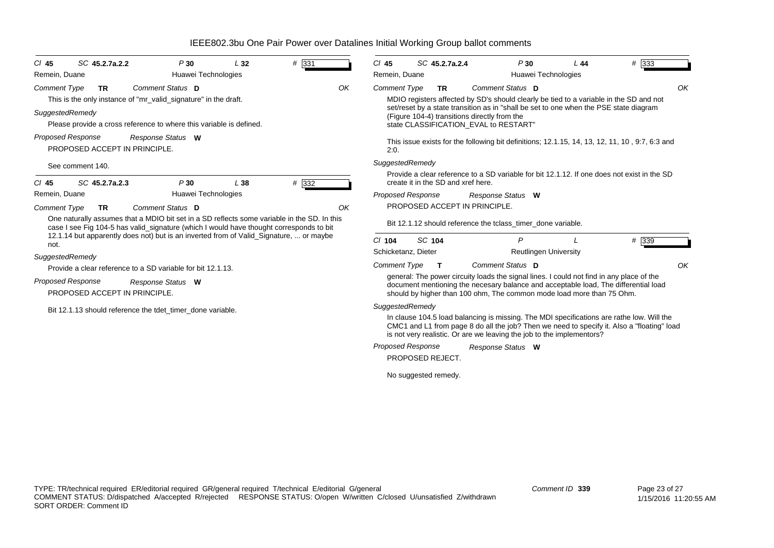| $CI$ 45             | SC 45.2.7a.2.2                                            | P30                                                                                                                                                                                    | L32 | # 331 |    | $CI$ 45                  |        | SC 45.2.7a.2.4                     | P30                                                                                                                                                                                                                                                              | L44 | $#$ 333 |
|---------------------|-----------------------------------------------------------|----------------------------------------------------------------------------------------------------------------------------------------------------------------------------------------|-----|-------|----|--------------------------|--------|------------------------------------|------------------------------------------------------------------------------------------------------------------------------------------------------------------------------------------------------------------------------------------------------------------|-----|---------|
| Remein, Duane       |                                                           | Huawei Technologies                                                                                                                                                                    |     |       |    | Remein, Duane            |        |                                    | Huawei Technologies                                                                                                                                                                                                                                              |     |         |
| <b>Comment Type</b> | <b>TR</b>                                                 | Comment Status D                                                                                                                                                                       |     |       | OK | <b>Comment Type</b>      |        | <b>TR</b>                          | Comment Status D                                                                                                                                                                                                                                                 |     | OK      |
|                     |                                                           | This is the only instance of "mr_valid_signature" in the draft.                                                                                                                        |     |       |    |                          |        |                                    | MDIO registers affected by SD's should clearly be tied to a variable in the SD and not                                                                                                                                                                           |     |         |
| SuggestedRemedy     |                                                           |                                                                                                                                                                                        |     |       |    |                          |        |                                    | set/reset by a state transition as in "shall be set to one when the PSE state diagram<br>(Figure 104-4) transitions directly from the                                                                                                                            |     |         |
|                     |                                                           | Please provide a cross reference to where this variable is defined.                                                                                                                    |     |       |    |                          |        |                                    | state CLASSIFICATION EVAL to RESTART"                                                                                                                                                                                                                            |     |         |
|                     | <b>Proposed Response</b><br>PROPOSED ACCEPT IN PRINCIPLE. | Response Status W                                                                                                                                                                      |     |       |    | 2:0.                     |        |                                    | This issue exists for the following bit definitions; 12.1.15, 14, 13, 12, 11, 10, 9:7, 6:3 and                                                                                                                                                                   |     |         |
|                     | See comment 140.                                          |                                                                                                                                                                                        |     |       |    | SuggestedRemedy          |        |                                    |                                                                                                                                                                                                                                                                  |     |         |
| $CI$ 45             | SC 45.2.7a.2.3                                            | P30                                                                                                                                                                                    | L38 | # 332 |    |                          |        | create it in the SD and xref here. | Provide a clear reference to a SD variable for bit 12.1.12. If one does not exist in the SD                                                                                                                                                                      |     |         |
| Remein, Duane       |                                                           | Huawei Technologies                                                                                                                                                                    |     |       |    | Proposed Response        |        |                                    | Response Status W                                                                                                                                                                                                                                                |     |         |
| <b>Comment Type</b> | <b>TR</b>                                                 | Comment Status D                                                                                                                                                                       |     |       | OK |                          |        |                                    | PROPOSED ACCEPT IN PRINCIPLE.                                                                                                                                                                                                                                    |     |         |
|                     |                                                           | One naturally assumes that a MDIO bit set in a SD reflects some variable in the SD. In this<br>case I see Fig 104-5 has valid_signature (which I would have thought corresponds to bit |     |       |    |                          |        |                                    | Bit 12.1.12 should reference the tclass_timer_done variable.                                                                                                                                                                                                     |     |         |
| not.                |                                                           | 12.1.14 but apparently does not) but is an inverted from of Valid Signature,  or maybe                                                                                                 |     |       |    | $Cl$ 104                 | SC 104 |                                    | P                                                                                                                                                                                                                                                                |     | # 339   |
| SuggestedRemedy     |                                                           |                                                                                                                                                                                        |     |       |    | Schicketanz, Dieter      |        |                                    | <b>Reutlingen University</b>                                                                                                                                                                                                                                     |     |         |
|                     |                                                           | Provide a clear reference to a SD variable for bit 12.1.13.                                                                                                                            |     |       |    | <b>Comment Type</b>      |        | т                                  | Comment Status D                                                                                                                                                                                                                                                 |     | OK      |
|                     | <b>Proposed Response</b>                                  | Response Status W                                                                                                                                                                      |     |       |    |                          |        |                                    | general: The power circuity loads the signal lines. I could not find in any place of the                                                                                                                                                                         |     |         |
|                     | PROPOSED ACCEPT IN PRINCIPLE.                             |                                                                                                                                                                                        |     |       |    |                          |        |                                    | document mentioning the necesary balance and acceptable load, The differential load<br>should by higher than 100 ohm, The common mode load more than 75 Ohm.                                                                                                     |     |         |
|                     |                                                           | Bit 12.1.13 should reference the tdet timer done variable.                                                                                                                             |     |       |    | SuggestedRemedy          |        |                                    |                                                                                                                                                                                                                                                                  |     |         |
|                     |                                                           |                                                                                                                                                                                        |     |       |    |                          |        |                                    | In clause 104.5 load balancing is missing. The MDI specifications are rathe low. Will the<br>CMC1 and L1 from page 8 do all the job? Then we need to specify it. Also a "floating" load<br>is not very realistic. Or are we leaving the job to the implementors? |     |         |
|                     |                                                           |                                                                                                                                                                                        |     |       |    | <b>Proposed Response</b> |        |                                    | Response Status W                                                                                                                                                                                                                                                |     |         |
|                     |                                                           |                                                                                                                                                                                        |     |       |    |                          |        | PROPOSED REJECT.                   |                                                                                                                                                                                                                                                                  |     |         |

No suggested remedy.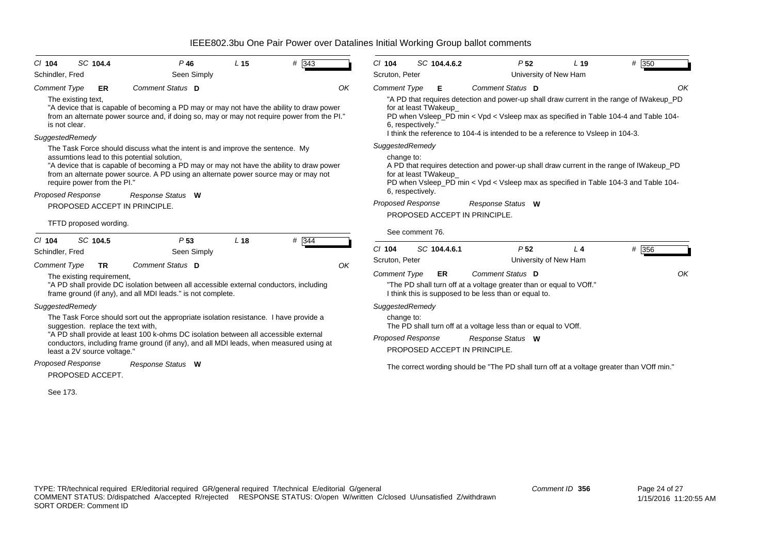| SC 104.4<br>$Cl$ 104<br>Schindler, Fred                                                                  | $P$ 46<br>Seen Simply                                                                                                                                                                                                                                                                                                                  | L <sub>15</sub> | # 343 |    | $Cl$ 104<br>Scruton, Peter                                |                   | SC 104.4.6.2              | P <sub>52</sub>                                                                                                                                                               | L <sub>19</sub><br>University of New Ham | # 350                                                                                                                                                                                 |
|----------------------------------------------------------------------------------------------------------|----------------------------------------------------------------------------------------------------------------------------------------------------------------------------------------------------------------------------------------------------------------------------------------------------------------------------------------|-----------------|-------|----|-----------------------------------------------------------|-------------------|---------------------------|-------------------------------------------------------------------------------------------------------------------------------------------------------------------------------|------------------------------------------|---------------------------------------------------------------------------------------------------------------------------------------------------------------------------------------|
| <b>Comment Type</b><br>ER<br>The existing text,<br>is not clear.<br>SuggestedRemedy                      | Comment Status D<br>"A device that is capable of becoming a PD may or may not have the ability to draw power<br>from an alternate power source and, if doing so, may or may not require power from the PI."                                                                                                                            |                 |       | OK | <b>Comment Type</b>                                       | 6, respectively." | Е<br>for at least TWakeup | Comment Status D<br>I think the reference to 104-4 is intended to be a reference to Vsleep in 104-3.                                                                          |                                          | OK<br>"A PD that requires detection and power-up shall draw current in the range of IWakeup_PD<br>PD when Vsleep_PD min < Vpd < Vsleep max as specified in Table 104-4 and Table 104- |
| assumtions lead to this potential solution,<br>require power from the PI."<br>Proposed Response          | The Task Force should discuss what the intent is and improve the sentence. My<br>"A device that is capable of becoming a PD may or may not have the ability to draw power<br>from an alternate power source. A PD using an alternate power source may or may not<br>Response Status W                                                  |                 |       |    | SuggestedRemedy<br>change to:                             | 6, respectively.  | for at least TWakeup      |                                                                                                                                                                               |                                          | A PD that requires detection and power-up shall draw current in the range of IWakeup_PD<br>PD when Vsleep_PD min < Vpd < Vsleep max as specified in Table 104-3 and Table 104-        |
| PROPOSED ACCEPT IN PRINCIPLE.<br>TFTD proposed wording.                                                  |                                                                                                                                                                                                                                                                                                                                        |                 |       |    | <b>Proposed Response</b>                                  |                   |                           | Response Status W<br>PROPOSED ACCEPT IN PRINCIPLE.                                                                                                                            |                                          |                                                                                                                                                                                       |
| SC 104.5<br>$Cl$ 104<br>Schindler, Fred<br><b>Comment Type</b><br><b>TR</b><br>The existing requirement, | P <sub>53</sub><br>Seen Simply<br>Comment Status D<br>"A PD shall provide DC isolation between all accessible external conductors, including                                                                                                                                                                                           | L <sub>18</sub> | # 344 | OK | $Cl$ 104<br>Scruton, Peter<br><b>Comment Type</b>         | See comment 76.   | SC 104.4.6.1<br>ER        | P <sub>52</sub><br>Comment Status D<br>"The PD shall turn off at a voltage greater than or equal to VOff."                                                                    | L <sub>4</sub><br>University of New Ham  | # 356<br>OK                                                                                                                                                                           |
| SuggestedRemedy<br>suggestion. replace the text with,<br>least a 2V source voltage."                     | frame ground (if any), and all MDI leads." is not complete.<br>The Task Force should sort out the appropriate isolation resistance. I have provide a<br>"A PD shall provide at least 100 k-ohms DC isolation between all accessible external<br>conductors, including frame ground (if any), and all MDI leads, when measured using at |                 |       |    | SuggestedRemedy<br>change to:<br><b>Proposed Response</b> |                   |                           | I think this is supposed to be less than or equal to.<br>The PD shall turn off at a voltage less than or equal to VOff.<br>Response Status W<br>PROPOSED ACCEPT IN PRINCIPLE. |                                          |                                                                                                                                                                                       |
| Proposed Response<br>PROPOSED ACCEPT.<br>See 173.                                                        | Response Status W                                                                                                                                                                                                                                                                                                                      |                 |       |    |                                                           |                   |                           |                                                                                                                                                                               |                                          | The correct wording should be "The PD shall turn off at a voltage greater than VOff min."                                                                                             |
|                                                                                                          |                                                                                                                                                                                                                                                                                                                                        |                 |       |    |                                                           |                   |                           |                                                                                                                                                                               |                                          |                                                                                                                                                                                       |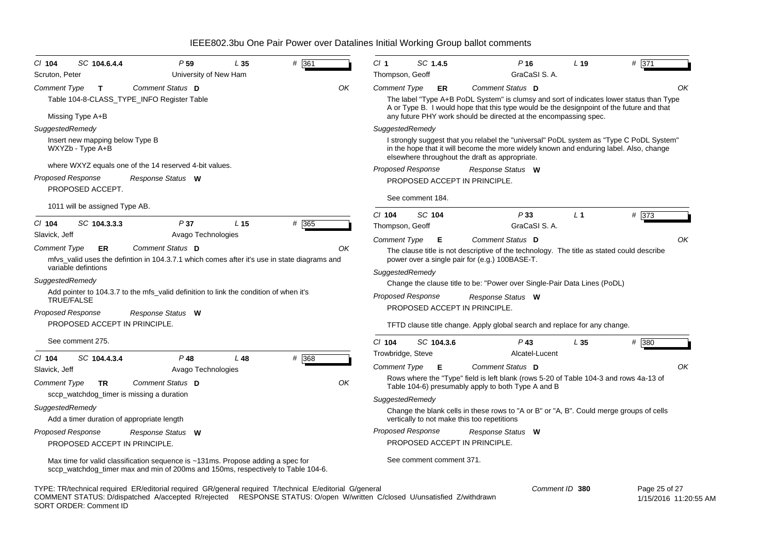| SC 104.6.4.4<br>P 59<br>$CI$ 104<br>L 35                                                                                                                            | # 361 | CI <sub>1</sub>               | SC 1.4.5   | $P$ 16                                                                                                                                                                                                                              | L <sub>19</sub> | # 371 |
|---------------------------------------------------------------------------------------------------------------------------------------------------------------------|-------|-------------------------------|------------|-------------------------------------------------------------------------------------------------------------------------------------------------------------------------------------------------------------------------------------|-----------------|-------|
| Scruton, Peter<br>University of New Ham                                                                                                                             |       | Thompson, Geoff               |            | GraCaSI S.A.                                                                                                                                                                                                                        |                 |       |
| Comment Status D<br><b>Comment Type</b><br>$\mathbf{T}$                                                                                                             | OK    | <b>Comment Type</b>           | ER         | Comment Status D                                                                                                                                                                                                                    |                 | OK    |
| Table 104-8-CLASS_TYPE_INFO Register Table                                                                                                                          |       |                               |            | The label "Type A+B PoDL System" is clumsy and sort of indicates lower status than Type<br>A or Type B. I would hope that this type would be the designpoint of the future and that                                                 |                 |       |
| Missing Type A+B                                                                                                                                                    |       |                               |            | any future PHY work should be directed at the encompassing spec.                                                                                                                                                                    |                 |       |
| SuggestedRemedy                                                                                                                                                     |       | SuggestedRemedy               |            |                                                                                                                                                                                                                                     |                 |       |
| Insert new mapping below Type B<br>WXYZb - Type A+B                                                                                                                 |       |                               |            | I strongly suggest that you relabel the "universal" PoDL system as "Type C PoDL System"<br>in the hope that it will become the more widely known and enduring label. Also, change<br>elsewhere throughout the draft as appropriate. |                 |       |
| where WXYZ equals one of the 14 reserved 4-bit values.                                                                                                              |       | <b>Proposed Response</b>      |            | Response Status W                                                                                                                                                                                                                   |                 |       |
| <b>Proposed Response</b><br>Response Status W                                                                                                                       |       | PROPOSED ACCEPT IN PRINCIPLE. |            |                                                                                                                                                                                                                                     |                 |       |
| PROPOSED ACCEPT.                                                                                                                                                    |       |                               |            |                                                                                                                                                                                                                                     |                 |       |
| 1011 will be assigned Type AB.                                                                                                                                      |       | See comment 184.              |            |                                                                                                                                                                                                                                     |                 |       |
|                                                                                                                                                                     |       | $Cl$ 104                      | SC 104     | P33                                                                                                                                                                                                                                 | L <sub>1</sub>  | # 373 |
| $CI$ 104<br>SC 104.3.3.3<br>P 37<br>L <sub>15</sub>                                                                                                                 | # 365 | Thompson, Geoff               |            | GraCaSI S.A.                                                                                                                                                                                                                        |                 |       |
| Slavick, Jeff<br>Avago Technologies                                                                                                                                 |       | <b>Comment Type</b>           | Е          | Comment Status D                                                                                                                                                                                                                    |                 | OK    |
| Comment Status D<br><b>Comment Type</b><br>ER                                                                                                                       | ΟK    |                               |            | The clause title is not descriptive of the technology. The title as stated could describe                                                                                                                                           |                 |       |
| mfvs_valid uses the defintion in 104.3.7.1 which comes after it's use in state diagrams and                                                                         |       |                               |            | power over a single pair for (e.g.) 100BASE-T.                                                                                                                                                                                      |                 |       |
| variable defintions                                                                                                                                                 |       | SuggestedRemedy               |            |                                                                                                                                                                                                                                     |                 |       |
| SuggestedRemedy                                                                                                                                                     |       |                               |            | Change the clause title to be: "Power over Single-Pair Data Lines (PoDL)                                                                                                                                                            |                 |       |
| Add pointer to 104.3.7 to the mfs_valid definition to link the condition of when it's<br><b>TRUE/FALSE</b>                                                          |       | <b>Proposed Response</b>      |            | Response Status W                                                                                                                                                                                                                   |                 |       |
|                                                                                                                                                                     |       | PROPOSED ACCEPT IN PRINCIPLE. |            |                                                                                                                                                                                                                                     |                 |       |
| <b>Proposed Response</b><br>Response Status W                                                                                                                       |       |                               |            |                                                                                                                                                                                                                                     |                 |       |
| PROPOSED ACCEPT IN PRINCIPLE.                                                                                                                                       |       |                               |            | TFTD clause title change. Apply global search and replace for any change.                                                                                                                                                           |                 |       |
| See comment 275.                                                                                                                                                    |       | $Cl$ 104                      | SC 104.3.6 | $P$ 43                                                                                                                                                                                                                              | L35             | # 380 |
| $P$ 48<br>$CI$ 104<br>SC 104.4.3.4<br>L48                                                                                                                           | # 368 | Trowbridge, Steve             |            | Alcatel-Lucent                                                                                                                                                                                                                      |                 |       |
| Slavick, Jeff<br>Avago Technologies                                                                                                                                 |       | Comment Type                  | E          | Comment Status D                                                                                                                                                                                                                    |                 | OK    |
|                                                                                                                                                                     |       |                               |            | Rows where the "Type" field is left blank (rows 5-20 of Table 104-3 and rows 4a-13 of                                                                                                                                               |                 |       |
| Comment Status D<br><b>Comment Type</b><br>TR.                                                                                                                      | OK    |                               |            | Table 104-6) presumably apply to both Type A and B                                                                                                                                                                                  |                 |       |
| sccp_watchdog_timer is missing a duration                                                                                                                           |       | SuggestedRemedy               |            |                                                                                                                                                                                                                                     |                 |       |
| SuggestedRemedy                                                                                                                                                     |       |                               |            | Change the blank cells in these rows to "A or B" or "A, B". Could merge groups of cells                                                                                                                                             |                 |       |
| Add a timer duration of appropriate length                                                                                                                          |       |                               |            | vertically to not make this too repetitions                                                                                                                                                                                         |                 |       |
| <b>Proposed Response</b><br>Response Status W                                                                                                                       |       | <b>Proposed Response</b>      |            | Response Status W                                                                                                                                                                                                                   |                 |       |
| PROPOSED ACCEPT IN PRINCIPLE.                                                                                                                                       |       | PROPOSED ACCEPT IN PRINCIPLE. |            |                                                                                                                                                                                                                                     |                 |       |
| Max time for valid classification sequence is ~131ms. Propose adding a spec for<br>sccp_watchdog_timer max and min of 200ms and 150ms, respectively to Table 104-6. |       | See comment comment 371.      |            |                                                                                                                                                                                                                                     |                 |       |

TYPE: TR/technical required ER/editorial required GR/general required T/technical E/editorial G/general COMMENT STATUS: D/dispatched A/accepted R/rejected RESPONSE STATUS: O/open W/written C/closed U/unsatisfied Z/withdrawn SORT ORDER: Comment ID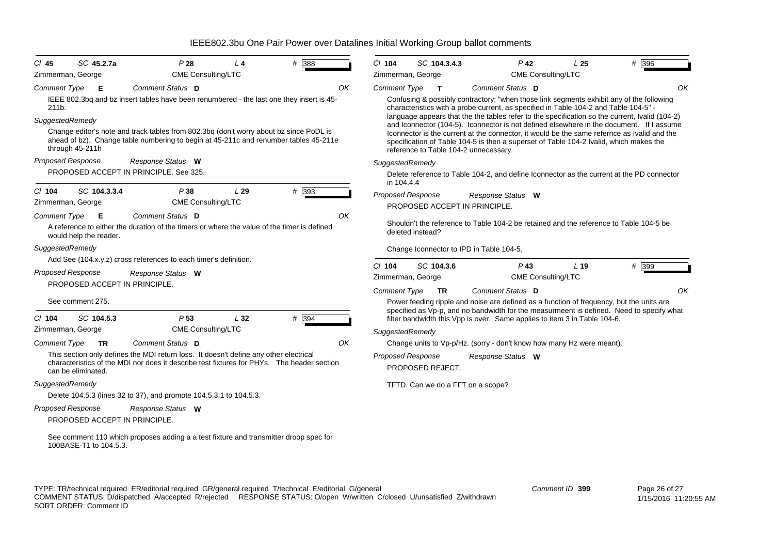| $CI$ 45             | SC 45.2.7a                    | P28                                                                                                                                                                            | $L_4$ | # 388   | $CI$ 104            | SC 104.3.4.3                          | $P$ 42                                                                                                                                                                                     | L <sub>25</sub> | # 396 |
|---------------------|-------------------------------|--------------------------------------------------------------------------------------------------------------------------------------------------------------------------------|-------|---------|---------------------|---------------------------------------|--------------------------------------------------------------------------------------------------------------------------------------------------------------------------------------------|-----------------|-------|
|                     | Zimmerman, George             | CME Consulting/LTC                                                                                                                                                             |       |         |                     | Zimmerman, George                     | CME Consulting/LTC                                                                                                                                                                         |                 |       |
| <b>Comment Type</b> | - E                           | Comment Status D                                                                                                                                                               |       | OK      | <b>Comment Type</b> | $\mathbf{T}$                          | Comment Status D                                                                                                                                                                           |                 | OK    |
| 211b.               |                               | IEEE 802.3bq and bz insert tables have been renumbered - the last one they insert is 45-                                                                                       |       |         |                     |                                       | Confusing & possibly contractory: "when those link segments exhibit any of the following<br>characteristics with a probe current, as specified in Table 104-2 and Table 104-5" -           |                 |       |
| SuggestedRemedy     |                               |                                                                                                                                                                                |       |         |                     |                                       | language appears that the the tables refer to the specification so the current, Ivalid (104-2)<br>and Iconnector (104-5). Iconnector is not defined elsewhere in the document. If I assume |                 |       |
|                     | through 45-211h               | Change editor's note and track tables from 802.3bq (don't worry about bz since PoDL is<br>ahead of bz). Change table numbering to begin at 45-211c and renumber tables 45-211e |       |         |                     | reference to Table 104-2 unnecessary. | Iconnector is the current at the connector, it would be the same refernce as Ivalid and the<br>specification of Table 104-5 is then a superset of Table 104-2 Ivalid, which makes the      |                 |       |
|                     | Proposed Response             | Response Status W                                                                                                                                                              |       |         | SuggestedRemedy     |                                       |                                                                                                                                                                                            |                 |       |
|                     |                               | PROPOSED ACCEPT IN PRINCIPLE, See 325.                                                                                                                                         |       |         | in 104.4.4          |                                       | Delete reference to Table 104-2, and define Iconnector as the current at the PD connector                                                                                                  |                 |       |
| $CI$ 104            | SC 104.3.3.4                  | P 38                                                                                                                                                                           | L29   | $#$ 393 |                     | <b>Proposed Response</b>              | Response Status W                                                                                                                                                                          |                 |       |
|                     | Zimmerman, George             | <b>CME Consulting/LTC</b>                                                                                                                                                      |       |         |                     | PROPOSED ACCEPT IN PRINCIPLE.         |                                                                                                                                                                                            |                 |       |
| Comment Type        | - E                           | Comment Status D                                                                                                                                                               |       | OK      |                     |                                       |                                                                                                                                                                                            |                 |       |
|                     | would help the reader.        | A reference to either the duration of the timers or where the value of the timer is defined                                                                                    |       |         |                     | deleted instead?                      | Shouldn't the reference to Table 104-2 be retained and the reference to Table 104-5 be                                                                                                     |                 |       |
| SuggestedRemedy     |                               | Add See (104.x.y.z) cross references to each timer's definition.                                                                                                               |       |         |                     |                                       | Change Iconnector to IPD in Table 104-5.                                                                                                                                                   |                 |       |
|                     | Proposed Response             | Response Status W                                                                                                                                                              |       |         | $Cl$ 104            | SC 104.3.6                            | $P$ 43                                                                                                                                                                                     | L <sub>19</sub> | # 399 |
|                     | PROPOSED ACCEPT IN PRINCIPLE. |                                                                                                                                                                                |       |         | <b>Comment Type</b> | Zimmerman, George<br><b>TR</b>        | CME Consulting/LTC<br>Comment Status D                                                                                                                                                     |                 | OK    |
|                     | See comment 275.              |                                                                                                                                                                                |       |         |                     |                                       | Power feeding ripple and noise are defined as a function of frequency, but the units are                                                                                                   |                 |       |
|                     |                               |                                                                                                                                                                                |       |         |                     |                                       | specified as Vp-p, and no bandwidth for the measurmeent is defined. Need to specify what                                                                                                   |                 |       |
| $CI$ 104            | SC 104.5.3                    | P <sub>53</sub>                                                                                                                                                                | L32   | # 394   |                     |                                       | filter bandwidth this Vpp is over. Same applies to item 3 in Table 104-6.                                                                                                                  |                 |       |
|                     | Zimmerman, George             | CME Consulting/LTC                                                                                                                                                             |       |         | SuggestedRemedy     |                                       |                                                                                                                                                                                            |                 |       |
| <b>Comment Type</b> | TR                            | Comment Status D                                                                                                                                                               |       | OK      |                     |                                       | Change units to Vp-p/Hz. (sorry - don't know how many Hz were meant).                                                                                                                      |                 |       |
|                     |                               | This section only defines the MDI return loss. It doesn't define any other electrical                                                                                          |       |         |                     | Proposed Response                     | Response Status W                                                                                                                                                                          |                 |       |
|                     | can be eliminated.            | characteristics of the MDI nor does it describe test fixtures for PHYs. The header section                                                                                     |       |         |                     | PROPOSED REJECT.                      |                                                                                                                                                                                            |                 |       |
| SuggestedRemedy     |                               |                                                                                                                                                                                |       |         |                     | TFTD. Can we do a FFT on a scope?     |                                                                                                                                                                                            |                 |       |
|                     |                               | Delete 104.5.3 (lines 32 to 37), and promote 104.5.3.1 to 104.5.3.                                                                                                             |       |         |                     |                                       |                                                                                                                                                                                            |                 |       |
|                     | Proposed Response             |                                                                                                                                                                                |       |         |                     |                                       |                                                                                                                                                                                            |                 |       |
|                     | PROPOSED ACCEPT IN PRINCIPLE. | Response Status W                                                                                                                                                              |       |         |                     |                                       |                                                                                                                                                                                            |                 |       |
|                     |                               |                                                                                                                                                                                |       |         |                     |                                       |                                                                                                                                                                                            |                 |       |
|                     | 100BASE-T1 to 104.5.3.        | See comment 110 which proposes adding a a test fixture and transmitter droop spec for                                                                                          |       |         |                     |                                       |                                                                                                                                                                                            |                 |       |